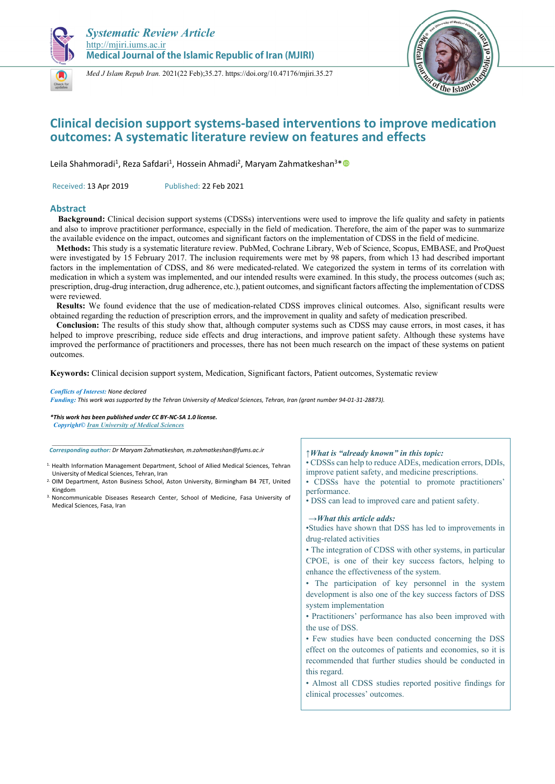





# **Clinical decision support systems-based interventions to improve medication outcomes: A systematic literature review on features and effects**

Leila Shahmoradi<sup>1</sup>, Reza Safdari<sup>1</sup>, Hossein Ahmadi<sup>2</sup>, Maryam Zahmatkeshan<sup>3\*</sup> ®

Received: 13 Apr 2019 Published: 22 Feb 2021

# **Abstract**

**Background:** Clinical decision support systems (CDSSs) interventions were used to improve the life quality and safety in patients and also to improve practitioner performance, especially in the field of medication. Therefore, the aim of the paper was to summarize the available evidence on the impact, outcomes and significant factors on the implementation of CDSS in the field of medicine.

 **Methods:** This study is a systematic literature review. PubMed, Cochrane Library, Web of Science, Scopus, EMBASE, and ProQuest were investigated by 15 February 2017. The inclusion requirements were met by 98 papers, from which 13 had described important factors in the implementation of CDSS, and 86 were medicated-related. We categorized the system in terms of its correlation with medication in which a system was implemented, and our intended results were examined. In this study, the process outcomes (such as; prescription, drug-drug interaction, drug adherence, etc.), patient outcomes, and significant factors affecting the implementation of CDSS were reviewed.

 **Results:** We found evidence that the use of medication-related CDSS improves clinical outcomes. Also, significant results were obtained regarding the reduction of prescription errors, and the improvement in quality and safety of medication prescribed.

 **Conclusion:** The results of this study show that, although computer systems such as CDSS may cause errors, in most cases, it has helped to improve prescribing, reduce side effects and drug interactions, and improve patient safety. Although these systems have improved the performance of practitioners and processes, there has not been much research on the impact of these systems on patient outcomes.

**Keywords:** Clinical decision support system, Medication, Significant factors, Patient outcomes, Systematic review

#### *Conflicts of Interest: None declared*

*Funding: This work was supported by the Tehran University of Medical Sciences, Tehran, Iran (grant number 94-01-31-28873).* 

*\*This work has been published under CC BY-NC-SA 1.0 license. Copyright© Iran University of Medical Sciences* 

*Corresponding author: Dr Maryam Zahmatkeshan, m.zahmatkeshan@fums.ac.ir* 

- 1. Health Information Management Department, School of Allied Medical Sciences, Tehran University of Medical Sciences, Tehran, Iran
- 2. OIM Department, Aston Business School, Aston University, Birmingham B4 7ET, United Kingdom
- 3. Noncommunicable Diseases Research Center, School of Medicine, Fasa University of Medical Sciences, Fasa, Iran

# *↑What is "already known" in this topic:*

- CDSSs can help to reduce ADEs, medication errors, DDIs, improve patient safety, and medicine prescriptions.
- CDSSs have the potential to promote practitioners' performance.
- DSS can lead to improved care and patient safety.

#### *→What this article adds:*

•Studies have shown that DSS has led to improvements in drug-related activities

• The integration of CDSS with other systems, in particular CPOE, is one of their key success factors, helping to enhance the effectiveness of the system.

• The participation of key personnel in the system development is also one of the key success factors of DSS system implementation

- Practitioners' performance has also been improved with the use of DSS.
- Few studies have been conducted concerning the DSS effect on the outcomes of patients and economies, so it is recommended that further studies should be conducted in this regard.

• Almost all CDSS studies reported positive findings for clinical processes' outcomes.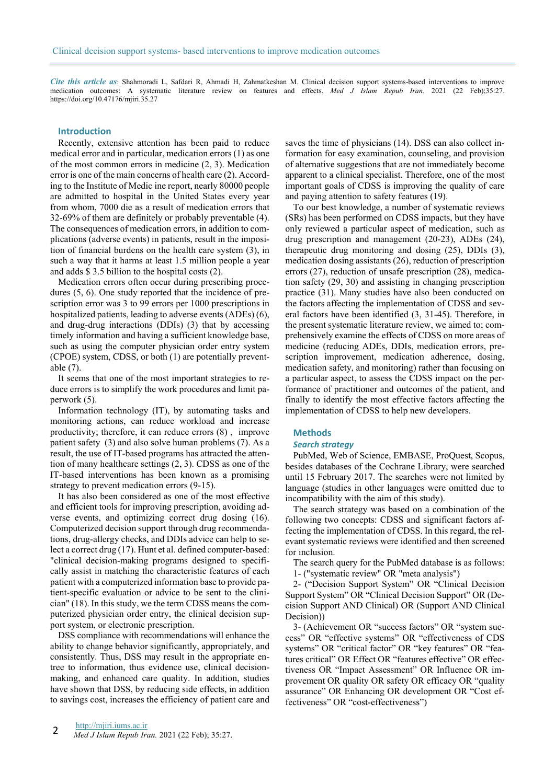*Cite this article as*: Shahmoradi L, Safdari R, Ahmadi H, Zahmatkeshan M. Clinical decision support systems-based interventions to improve medication outcomes: A systematic literature review on features and effects. *Med J Islam Repub Iran.* 2021 (22 Feb);35:27. https://doi.org/10.47176/mjiri.35.27

#### **Introduction**

Recently, extensive attention has been paid to reduce medical error and in particular, medication errors (1) as one of the most common errors in medicine (2, 3). Medication error is one of the main concerns of health care (2). According to the Institute of Medic ine report, nearly 80000 people are admitted to hospital in the United States every year from whom, 7000 die as a result of medication errors that 32-69% of them are definitely or probably preventable (4). The consequences of medication errors, in addition to complications (adverse events) in patients, result in the imposition of financial burdens on the health care system (3), in such a way that it harms at least 1.5 million people a year and adds \$ 3.5 billion to the hospital costs (2).

Medication errors often occur during prescribing procedures (5, 6). One study reported that the incidence of prescription error was 3 to 99 errors per 1000 prescriptions in hospitalized patients, leading to adverse events (ADEs) (6), and drug-drug interactions (DDIs) (3) that by accessing timely information and having a sufficient knowledge base, such as using the computer physician order entry system (CPOE) system, CDSS, or both (1) are potentially preventable (7).

It seems that one of the most important strategies to reduce errors is to simplify the work procedures and limit paperwork (5).

Information technology (IT), by automating tasks and monitoring actions, can reduce workload and increase productivity; therefore, it can reduce errors (8) , improve patient safety (3) and also solve human problems (7). As a result, the use of IT-based programs has attracted the attention of many healthcare settings (2, 3). CDSS as one of the IT-based interventions has been known as a promising strategy to prevent medication errors (9-15).

It has also been considered as one of the most effective and efficient tools for improving prescription, avoiding adverse events, and optimizing correct drug dosing (16). Computerized decision support through drug recommendations, drug-allergy checks, and DDIs advice can help to select a correct drug (17). Hunt et al. defined computer-based: "clinical decision-making programs designed to specifically assist in matching the characteristic features of each patient with a computerized information base to provide patient-specific evaluation or advice to be sent to the clinician" (18). In this study, we the term CDSS means the computerized physician order entry, the clinical decision support system, or electronic prescription.

DSS compliance with recommendations will enhance the ability to change behavior significantly, appropriately, and consistently. Thus, DSS may result in the appropriate entree to information, thus evidence use, clinical decisionmaking, and enhanced care quality. In addition, studies have shown that DSS, by reducing side effects, in addition to savings cost, increases the efficiency of patient care and saves the time of physicians (14). DSS can also collect information for easy examination, counseling, and provision of alternative suggestions that are not immediately become apparent to a clinical specialist. Therefore, one of the most important goals of CDSS is improving the quality of care and paying attention to safety features (19).

To our best knowledge, a number of systematic reviews (SRs) has been performed on CDSS impacts, but they have only reviewed a particular aspect of medication, such as drug prescription and management (20-23), ADEs (24), therapeutic drug monitoring and dosing (25), DDIs (3), medication dosing assistants (26), reduction of prescription errors (27), reduction of unsafe prescription (28), medication safety (29, 30) and assisting in changing prescription practice (31). Many studies have also been conducted on the factors affecting the implementation of CDSS and several factors have been identified (3, 31-45). Therefore, in the present systematic literature review, we aimed to; comprehensively examine the effects of CDSS on more areas of medicine (reducing ADEs, DDIs, medication errors, prescription improvement, medication adherence, dosing, medication safety, and monitoring) rather than focusing on a particular aspect, to assess the CDSS impact on the performance of practitioner and outcomes of the patient, and finally to identify the most effective factors affecting the implementation of CDSS to help new developers.

#### **Methods**

#### *Search strategy*

PubMed, Web of Science, EMBASE, ProQuest, Scopus, besides databases of the Cochrane Library, were searched until 15 February 2017. The searches were not limited by language (studies in other languages were omitted due to incompatibility with the aim of this study).

The search strategy was based on a combination of the following two concepts: CDSS and significant factors affecting the implementation of CDSS. In this regard, the relevant systematic reviews were identified and then screened for inclusion.

The search query for the PubMed database is as follows:

1- ("systematic review" OR "meta analysis")

2- ("Decision Support System" OR "Clinical Decision Support System" OR "Clinical Decision Support" OR (Decision Support AND Clinical) OR (Support AND Clinical Decision))

3- (Achievement OR "success factors" OR "system success" OR "effective systems" OR "effectiveness of CDS systems" OR "critical factor" OR "key features" OR "features critical" OR Effect OR "features effective" OR effectiveness OR "Impact Assessment" OR Influence OR improvement OR quality OR safety OR efficacy OR "quality assurance" OR Enhancing OR development OR "Cost effectiveness" OR "cost-effectiveness")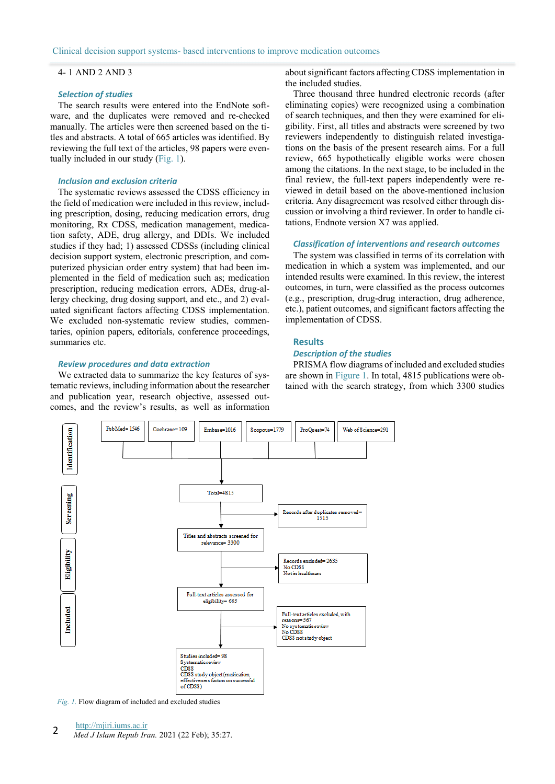# 4- 1 AND 2 AND 3

### *Selection of studies*

The search results were entered into the EndNote software, and the duplicates were removed and re-checked manually. The articles were then screened based on the titles and abstracts. A total of 665 articles was identified. By reviewing the full text of the articles, 98 papers were eventually included in our study (Fig. 1).

#### *Inclusion and exclusion criteria*

The systematic reviews assessed the CDSS efficiency in the field of medication were included in this review, including prescription, dosing, reducing medication errors, drug monitoring, Rx CDSS, medication management, medication safety, ADE, drug allergy, and DDIs. We included studies if they had; 1) assessed CDSSs (including clinical decision support system, electronic prescription, and computerized physician order entry system) that had been implemented in the field of medication such as; medication prescription, reducing medication errors, ADEs, drug-allergy checking, drug dosing support, and etc., and 2) evaluated significant factors affecting CDSS implementation. We excluded non-systematic review studies, commentaries, opinion papers, editorials, conference proceedings, summaries etc.

# *Review procedures and data extraction*

We extracted data to summarize the key features of systematic reviews, including information about the researcher and publication year, research objective, assessed outcomes, and the review's results, as well as information

about significant factors affecting CDSS implementation in the included studies.

Three thousand three hundred electronic records (after eliminating copies) were recognized using a combination of search techniques, and then they were examined for eligibility. First, all titles and abstracts were screened by two reviewers independently to distinguish related investigations on the basis of the present research aims. For a full review, 665 hypothetically eligible works were chosen among the citations. In the next stage, to be included in the final review, the full-text papers independently were reviewed in detail based on the above-mentioned inclusion criteria. Any disagreement was resolved either through discussion or involving a third reviewer. In order to handle citations, Endnote version X7 was applied.

#### *Classification of interventions and research outcomes*

The system was classified in terms of its correlation with medication in which a system was implemented, and our intended results were examined. In this review, the interest outcomes, in turn, were classified as the process outcomes (e.g., prescription, drug-drug interaction, drug adherence, etc.), patient outcomes, and significant factors affecting the implementation of CDSS.

#### **Results**

# *Description of the studies*

PRISMA flow diagrams of included and excluded studies are shown in Figure 1. In total, 4815 publications were obtained with the search strategy, from which 3300 studies



*Fig. 1.* Flow diagram of included and excluded studies

<sup>2</sup> Med *J Islam Repub Iran.* 2021 (22 Feb); 35:27.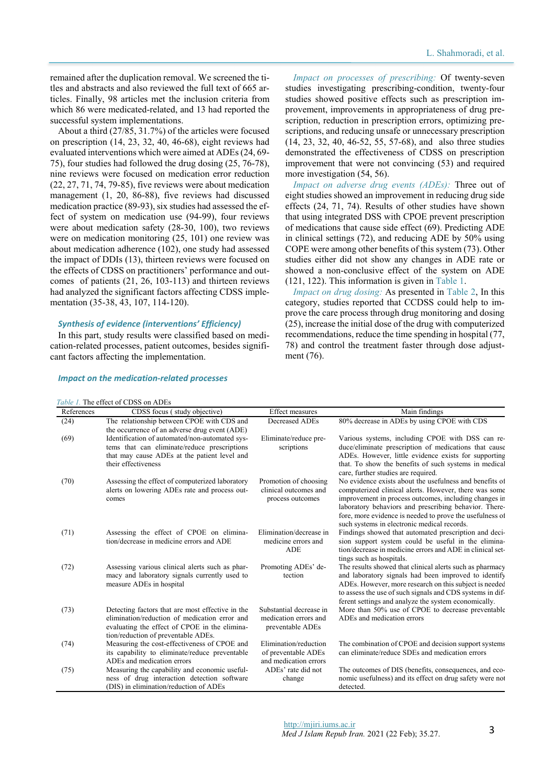remained after the duplication removal. We screened the titles and abstracts and also reviewed the full text of 665 articles. Finally, 98 articles met the inclusion criteria from which 86 were medicated-related, and 13 had reported the successful system implementations.

About a third (27/85, 31.7%) of the articles were focused on prescription (14, 23, 32, 40, 46-68), eight reviews had evaluated interventions which were aimed at ADEs (24, 69- 75), four studies had followed the drug dosing (25, 76-78), nine reviews were focused on medication error reduction (22, 27, 71, 74, 79-85), five reviews were about medication management (1, 20, 86-88), five reviews had discussed medication practice (89-93), six studies had assessed the effect of system on medication use (94-99), four reviews were about medication safety (28-30, 100), two reviews were on medication monitoring (25, 101) one review was about medication adherence (102), one study had assessed the impact of DDIs (13), thirteen reviews were focused on the effects of CDSS on practitioners' performance and outcomes of patients (21, 26, 103-113) and thirteen reviews had analyzed the significant factors affecting CDSS implementation (35-38, 43, 107, 114-120).

#### *Synthesis of evidence (interventions' Efficiency)*

In this part, study results were classified based on medication-related processes, patient outcomes, besides significant factors affecting the implementation.

*Impact on processes of prescribing:* Of twenty-seven studies investigating prescribing-condition, twenty-four studies showed positive effects such as prescription improvement, improvements in appropriateness of drug prescription, reduction in prescription errors, optimizing prescriptions, and reducing unsafe or unnecessary prescription (14, 23, 32, 40, 46-52, 55, 57-68), and also three studies demonstrated the effectiveness of CDSS on prescription improvement that were not convincing (53) and required more investigation  $(54, 56)$ .

*Impact on adverse drug events (ADEs):* Three out of eight studies showed an improvement in reducing drug side effects (24, 71, 74). Results of other studies have shown that using integrated DSS with CPOE prevent prescription of medications that cause side effect (69). Predicting ADE in clinical settings (72), and reducing ADE by 50% using COPE were among other benefits of this system (73). Other studies either did not show any changes in ADE rate or showed a non-conclusive effect of the system on ADE (121, 122). This information is given in Table 1.

*Impact on drug dosing:* As presented in Table 2, In this category, studies reported that CCDSS could help to improve the care process through drug monitoring and dosing (25), increase the initial dose of the drug with computerized recommendations, reduce the time spending in hospital (77, 78) and control the treatment faster through dose adjustment (76).

#### *Table 1.* The effect of CDSS on ADEs References CDSS focus ( study objective) Effect measures Main findings (24) The relationship between CPOE with CDS and the occurrence of an adverse drug event (ADE) Decreased ADEs 80% decrease in ADEs by using CPOE with CDS (69) Identification of automated/non-automated systems that can eliminate/reduce prescriptions that may cause ADEs at the patient level and their effectiveness Eliminate/reduce prescriptions Various systems, including CPOE with DSS can reduce/eliminate prescription of medications that cause ADEs. However, little evidence exists for supporting that. To show the benefits of such systems in medical care, further studies are required. (70) Assessing the effect of computerized laboratory alerts on lowering ADEs rate and process outcomes Promotion of choosing clinical outcomes and process outcomes No evidence exists about the usefulness and benefits of computerized clinical alerts. However, there was some improvement in process outcomes, including changes in laboratory behaviors and prescribing behavior. Therefore, more evidence is needed to prove the usefulness of such systems in electronic medical records. (71) Assessing the effect of CPOE on elimination/decrease in medicine errors and ADE Elimination/decrease in medicine errors and ADE Findings showed that automated prescription and decision support system could be useful in the elimination/decrease in medicine errors and ADE in clinical settings such as hospitals. (72) Assessing various clinical alerts such as pharmacy and laboratory signals currently used to measure ADEs in hospital Promoting ADEs' detection The results showed that clinical alerts such as pharmacy and laboratory signals had been improved to identify ADEs. However, more research on this subject is needed to assess the use of such signals and CDS systems in different settings and analyze the system economically. (73) Detecting factors that are most effective in the elimination/reduction of medication error and evaluating the effect of CPOE in the elimination/reduction of preventable ADEs. Substantial decrease in medication errors and preventable ADEs More than 50% use of CPOE to decrease preventable ADEs and medication errors (74) Measuring the cost-effectiveness of CPOE and its capability to eliminate/reduce preventable ADEs and medication errors Elimination/reduction of preventable ADEs and medication errors The combination of CPOE and decision support systems can eliminate/reduce SDEs and medication errors (75) Measuring the capability and economic usefulness of drug interaction detection software (DIS) in elimination/reduction of ADEs ADEs' rate did not change The outcomes of DIS (benefits, consequences, and economic usefulness) and its effect on drug safety were not detected.

#### *Impact on the medication-related processes*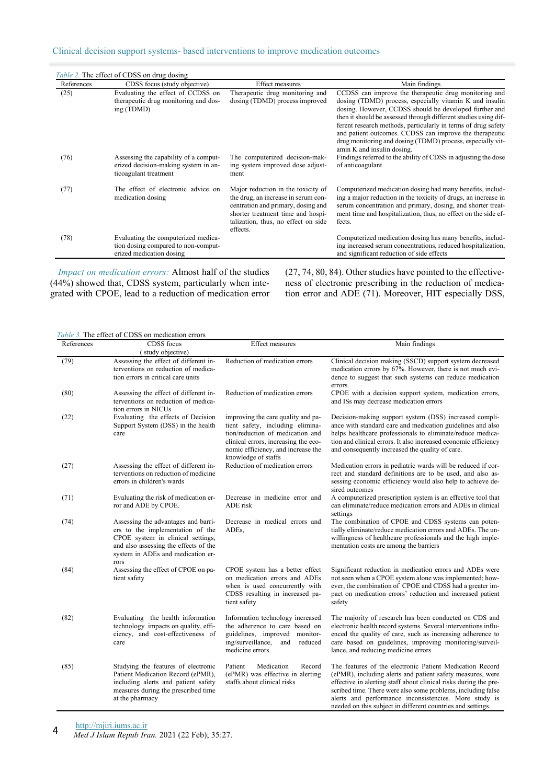| References | CDSS focus (study objective)                                                                           | <b>Effect measures</b>                                                                                                                                                                                  | Main findings                                                                                                                                                                                                                                                                                                                                                                                                                                                         |
|------------|--------------------------------------------------------------------------------------------------------|---------------------------------------------------------------------------------------------------------------------------------------------------------------------------------------------------------|-----------------------------------------------------------------------------------------------------------------------------------------------------------------------------------------------------------------------------------------------------------------------------------------------------------------------------------------------------------------------------------------------------------------------------------------------------------------------|
| (25)       | Evaluating the effect of CCDSS on<br>therapeutic drug monitoring and dos-<br>ing (TDMD)                | Therapeutic drug monitoring and<br>dosing (TDMD) process improved                                                                                                                                       | CCDSS can improve the therapeutic drug monitoring and<br>dosing (TDMD) process, especially vitamin K and insulin<br>dosing. However, CCDSS should be developed further and<br>then it should be assessed through different studies using dif-<br>ferent research methods, particularly in terms of drug safety<br>and patient outcomes. CCDSS can improve the therapeutic<br>drug monitoring and dosing (TDMD) process, especially vit-<br>amin K and insulin dosing. |
| (76)       | Assessing the capability of a comput-<br>erized decision-making system in an-<br>ticoagulant treatment | The computerized decision-mak-<br>ing system improved dose adjust-<br>ment                                                                                                                              | Findings referred to the ability of CDSS in adjusting the dose<br>of anticoagulant                                                                                                                                                                                                                                                                                                                                                                                    |
| (77)       | The effect of electronic advice on<br>medication dosing                                                | Major reduction in the toxicity of<br>the drug, an increase in serum con-<br>centration and primary, dosing and<br>shorter treatment time and hospi-<br>talization, thus, no effect on side<br>effects. | Computerized medication dosing had many benefits, includ-<br>ing a major reduction in the toxicity of drugs, an increase in<br>serum concentration and primary, dosing, and shorter treat-<br>ment time and hospitalization, thus, no effect on the side ef-<br>fects.                                                                                                                                                                                                |
| (78)       | Evaluating the computerized medica-<br>tion dosing compared to non-comput-<br>erized medication dosing |                                                                                                                                                                                                         | Computerized medication dosing has many benefits, includ-<br>ing increased serum concentrations, reduced hospitalization,<br>and significant reduction of side effects                                                                                                                                                                                                                                                                                                |

*Impact on medication errors:* Almost half of the studies (44%) showed that, CDSS system, particularly when integrated with CPOE, lead to a reduction of medication error (27, 74, 80, 84). Other studies have pointed to the effectiveness of electronic prescribing in the reduction of medication error and ADE (71). Moreover, HIT especially DSS,

# *Table 3.* The effect of CDSS on medication errors

| References | CDSS focus                                                                                                                                                                                         | <b>Effect measures</b>                                                                                                                                                                                          | Main findings                                                                                                                                                                                                                                                                                                                                                                      |
|------------|----------------------------------------------------------------------------------------------------------------------------------------------------------------------------------------------------|-----------------------------------------------------------------------------------------------------------------------------------------------------------------------------------------------------------------|------------------------------------------------------------------------------------------------------------------------------------------------------------------------------------------------------------------------------------------------------------------------------------------------------------------------------------------------------------------------------------|
|            | (study objective)                                                                                                                                                                                  |                                                                                                                                                                                                                 |                                                                                                                                                                                                                                                                                                                                                                                    |
| (79)       | Assessing the effect of different in-<br>terventions on reduction of medica-<br>tion errors in critical care units                                                                                 | Reduction of medication errors                                                                                                                                                                                  | Clinical decision making (SSCD) support system decreased<br>medication errors by 67%. However, there is not much evi-<br>dence to suggest that such systems can reduce medication<br>errors.                                                                                                                                                                                       |
| (80)       | Assessing the effect of different in-<br>terventions on reduction of medica-<br>tion errors in NICUs                                                                                               | Reduction of medication errors                                                                                                                                                                                  | CPOE with a decision support system, medication errors,<br>and ISs may decrease medication errors                                                                                                                                                                                                                                                                                  |
| (22)       | Evaluating the effects of Decision<br>Support System (DSS) in the health<br>care                                                                                                                   | improving the care quality and pa-<br>tient safety, including elimina-<br>tion/reduction of medication and<br>clinical errors, increasing the eco-<br>nomic efficiency, and increase the<br>knowledge of staffs | Decision-making support system (DSS) increased compli-<br>ance with standard care and medication guidelines and also<br>helps healthcare professionals to eliminate/reduce medica-<br>tion and clinical errors. It also increased economic efficiency<br>and consequently increased the quality of care.                                                                           |
| (27)       | Assessing the effect of different in-<br>terventions on reduction of medicine<br>errors in children's wards                                                                                        | Reduction of medication errors                                                                                                                                                                                  | Medication errors in pediatric wards will be reduced if cor-<br>rect and standard definitions are to be used, and also as-<br>sessing economic efficiency would also help to achieve de-<br>sired outcomes                                                                                                                                                                         |
| (71)       | Evaluating the risk of medication er-<br>ror and ADE by CPOE.                                                                                                                                      | Decrease in medicine error and<br>ADE risk                                                                                                                                                                      | A computerized prescription system is an effective tool that<br>can eliminate/reduce medication errors and ADEs in clinical<br>settings                                                                                                                                                                                                                                            |
| (74)       | Assessing the advantages and barri-<br>ers to the implementation of the<br>CPOE system in clinical settings,<br>and also assessing the effects of the<br>system in ADEs and medication er-<br>rors | Decrease in medical errors and<br>ADE <sub>s</sub>                                                                                                                                                              | The combination of CPOE and CDSS systems can poten-<br>tially eliminate/reduce medication errors and ADEs. The un-<br>willingness of healthcare professionals and the high imple-<br>mentation costs are among the barriers                                                                                                                                                        |
| (84)       | Assessing the effect of CPOE on pa-<br>tient safety                                                                                                                                                | CPOE system has a better effect<br>on medication errors and ADEs<br>when is used concurrently with<br>CDSS resulting in increased pa-<br>tient safety                                                           | Significant reduction in medication errors and ADEs were<br>not seen when a CPOE system alone was implemented; how-<br>ever, the combination of CPOE and CDSS had a greater im-<br>pact on medication errors' reduction and increased patient<br>safety                                                                                                                            |
| (82)       | Evaluating the health information<br>technology impacts on quality, effi-<br>ciency, and cost-effectiveness of<br>care                                                                             | Information technology increased<br>the adherence to care based on<br>guidelines, improved monitor-<br>ing/surveillance,<br>reduced<br>and<br>medicine errors.                                                  | The majority of research has been conducted on CDS and<br>electronic health record systems. Several interventions influ-<br>enced the quality of care, such as increasing adherence to<br>care based on guidelines, improving monitoring/surveil-<br>lance, and reducing medicine errors                                                                                           |
| (85)       | Studying the features of electronic<br>Patient Medication Record (ePMR),<br>including alerts and patient safety<br>measures during the prescribed time<br>at the pharmacy                          | Medication<br>Record<br>Patient<br>(ePMR) was effective in alerting<br>staffs about clinical risks                                                                                                              | The features of the electronic Patient Medication Record<br>(ePMR), including alerts and patient safety measures, were<br>effective in alerting staff about clinical risks during the pre-<br>scribed time. There were also some problems, including false<br>alerts and performance inconsistencies. More study is<br>needed on this subject in different countries and settings. |

http://mjiri.iums.ac.ir

*Med J Islam Repub Iran.* 2021 (22 Feb); 35:27. 4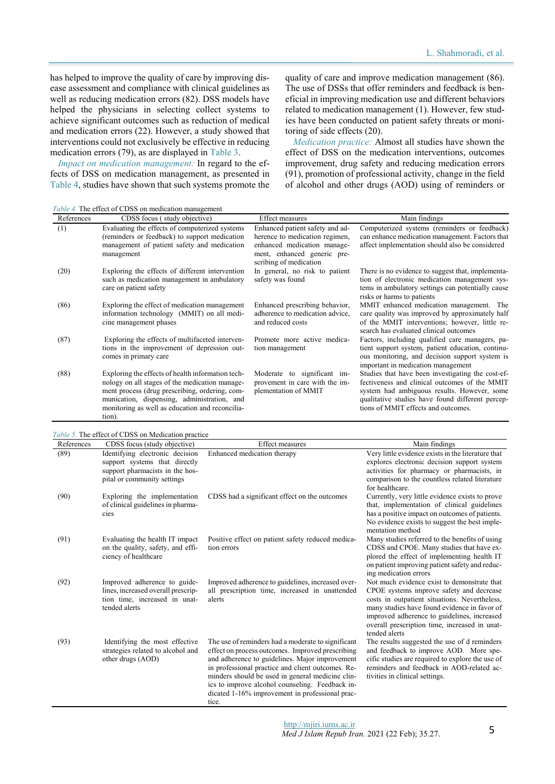has helped to improve the quality of care by improving disease assessment and compliance with clinical guidelines as well as reducing medication errors (82). DSS models have helped the physicians in selecting collect systems to achieve significant outcomes such as reduction of medical and medication errors (22). However, a study showed that interventions could not exclusively be effective in reducing medication errors (79), as are displayed in Table 3.

*Impact on medication management:* In regard to the effects of DSS on medication management, as presented in Table 4, studies have shown that such systems promote the quality of care and improve medication management (86). The use of DSSs that offer reminders and feedback is beneficial in improving medication use and different behaviors related to medication management (1). However, few studies have been conducted on patient safety threats or monitoring of side effects (20).

*Medication practice:* Almost all studies have shown the effect of DSS on the medication interventions, outcomes improvement, drug safety and reducing medication errors (91), promotion of professional activity, change in the field of alcohol and other drugs (AOD) using of reminders or

*Table 4.* The effect of CDSS on medication management

| References | CDSS focus (study objective)                                                                                                                                                                                                                                      | <b>Effect measures</b>                                                                                                                                    | Main findings                                                                                                                                                                                                                                |
|------------|-------------------------------------------------------------------------------------------------------------------------------------------------------------------------------------------------------------------------------------------------------------------|-----------------------------------------------------------------------------------------------------------------------------------------------------------|----------------------------------------------------------------------------------------------------------------------------------------------------------------------------------------------------------------------------------------------|
| (1)        | Evaluating the effects of computerized systems<br>(reminders or feedback) to support medication<br>management of patient safety and medication<br>management                                                                                                      | Enhanced patient safety and ad-<br>herence to medication regimen,<br>enhanced medication manage-<br>ment, enhanced generic pre-<br>scribing of medication | Computerized systems (reminders or feedback)<br>can enhance medication management. Factors that<br>affect implementation should also be considered                                                                                           |
| (20)       | Exploring the effects of different intervention<br>such as medication management in ambulatory<br>care on patient safety                                                                                                                                          | In general, no risk to patient<br>safety was found                                                                                                        | There is no evidence to suggest that, implementa-<br>tion of electronic medication management sys-<br>tems in ambulatory settings can potentially cause<br>risks or harms to patients                                                        |
| (86)       | Exploring the effect of medication management<br>information technology (MMIT) on all medi-<br>cine management phases                                                                                                                                             | Enhanced prescribing behavior,<br>adherence to medication advice.<br>and reduced costs                                                                    | MMIT enhanced medication management. The<br>care quality was improved by approximately half<br>of the MMIT interventions; however, little re-<br>search has evaluated clinical outcomes                                                      |
| (87)       | Exploring the effects of multifaceted interven-<br>tions in the improvement of depression out-<br>comes in primary care                                                                                                                                           | Promote more active medica-<br>tion management                                                                                                            | Factors, including qualified care managers, pa-<br>tient support system, patient education, continu-<br>ous monitoring, and decision support system is<br>important in medication management                                                 |
| (88)       | Exploring the effects of health information tech-<br>nology on all stages of the medication manage-<br>ment process (drug prescribing, ordering, com-<br>munication, dispensing, administration, and<br>monitoring as well as education and reconcilia-<br>tion). | Moderate to significant im-<br>provement in care with the im-<br>plementation of MMIT                                                                     | Studies that have been investigating the cost-ef-<br>fectiveness and clinical outcomes of the MMIT<br>system had ambiguous results. However, some<br>qualitative studies have found different percep-<br>tions of MMIT effects and outcomes. |

| Table 5. The effect of CDSS on Medication practice |                                                                                                                                    |                                                                                                                                                                                                                                                                                                                                                                                  |                                                                                                                                                                                                                                                                                                           |
|----------------------------------------------------|------------------------------------------------------------------------------------------------------------------------------------|----------------------------------------------------------------------------------------------------------------------------------------------------------------------------------------------------------------------------------------------------------------------------------------------------------------------------------------------------------------------------------|-----------------------------------------------------------------------------------------------------------------------------------------------------------------------------------------------------------------------------------------------------------------------------------------------------------|
| References                                         | CDSS focus (study objective)                                                                                                       | <b>Effect measures</b>                                                                                                                                                                                                                                                                                                                                                           | Main findings                                                                                                                                                                                                                                                                                             |
| (89)                                               | Identifying electronic decision<br>support systems that directly<br>support pharmacists in the hos-<br>pital or community settings | Enhanced medication therapy                                                                                                                                                                                                                                                                                                                                                      | Very little evidence exists in the literature that<br>explores electronic decision support system<br>activities for pharmacy or pharmacists, in<br>comparison to the countless related literature<br>for healthcare                                                                                       |
| (90)                                               | Exploring the implementation<br>of clinical guidelines in pharma-<br>cies                                                          | CDSS had a significant effect on the outcomes                                                                                                                                                                                                                                                                                                                                    | Currently, very little evidence exists to prove<br>that, implementation of clinical guidelines<br>has a positive impact on outcomes of patients.<br>No evidence exists to suggest the best imple-<br>mentation method                                                                                     |
| (91)                                               | Evaluating the health IT impact<br>on the quality, safety, and effi-<br>ciency of healthcare                                       | Positive effect on patient safety reduced medica-<br>tion errors                                                                                                                                                                                                                                                                                                                 | Many studies referred to the benefits of using<br>CDSS and CPOE. Many studies that have ex-<br>plored the effect of implementing health IT<br>on patient improving patient safety and reduc-<br>ing medication errors                                                                                     |
| (92)                                               | Improved adherence to guide-<br>lines, increased overall prescrip-<br>tion time, increased in unat-<br>tended alerts               | Improved adherence to guidelines, increased over-<br>all prescription time, increased in unattended<br>alerts                                                                                                                                                                                                                                                                    | Not much evidence exist to demonstrate that<br>CPOE systems improve safety and decrease<br>costs in outpatient situations. Nevertheless,<br>many studies have found evidence in favor of<br>improved adherence to guidelines, increased<br>overall prescription time, increased in unat-<br>tended alerts |
| (93)                                               | Identifying the most effective<br>strategies related to alcohol and<br>other drugs (AOD)                                           | The use of reminders had a moderate to significant<br>effect on process outcomes. Improved prescribing<br>and adherence to guidelines. Major improvement<br>in professional practice and client outcomes. Re-<br>minders should be used in general medicine clin-<br>ics to improve alcohol counseling. Feedback in-<br>dicated 1-16% improvement in professional prac-<br>tice. | The results suggested the use of d reminders<br>and feedback to improve AOD. More spe-<br>cific studies are required to explore the use of<br>reminders and feedback in AOD-related ac-<br>tivities in clinical settings.                                                                                 |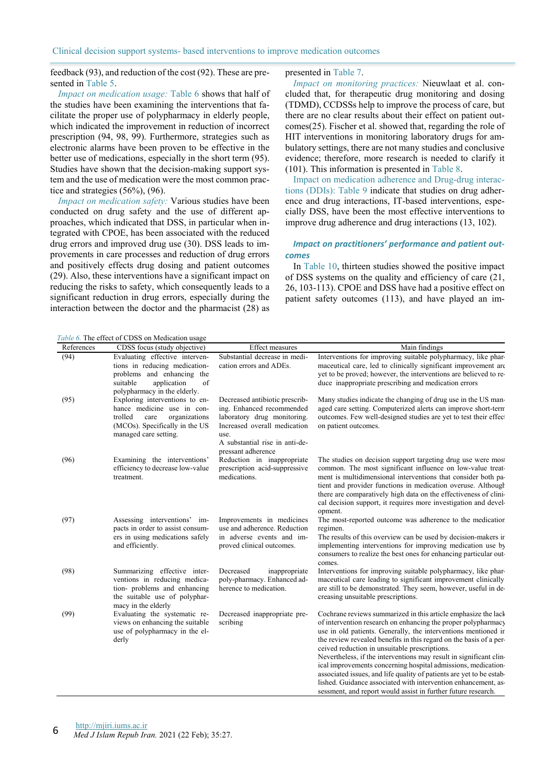Clinical decision support systems- based interventions to improve medication outcomes

feedback (93), and reduction of the cost (92). These are presented in Table 5.

*Impact on medication usage:* Table 6 shows that half of the studies have been examining the interventions that facilitate the proper use of polypharmacy in elderly people, which indicated the improvement in reduction of incorrect prescription (94, 98, 99). Furthermore, strategies such as electronic alarms have been proven to be effective in the better use of medications, especially in the short term (95). Studies have shown that the decision-making support system and the use of medication were the most common practice and strategies (56%), (96).

*Impact on medication safety:* Various studies have been conducted on drug safety and the use of different approaches, which indicated that DSS, in particular when integrated with CPOE, has been associated with the reduced drug errors and improved drug use (30). DSS leads to improvements in care processes and reduction of drug errors and positively effects drug dosing and patient outcomes (29). Also, these interventions have a significant impact on reducing the risks to safety, which consequently leads to a significant reduction in drug errors, especially during the interaction between the doctor and the pharmacist (28) as

presented in Table 7.

*Impact on monitoring practices:* Nieuwlaat et al. concluded that, for therapeutic drug monitoring and dosing (TDMD), CCDSSs help to improve the process of care, but there are no clear results about their effect on patient outcomes(25). Fischer et al. showed that, regarding the role of HIT interventions in monitoring laboratory drugs for ambulatory settings, there are not many studies and conclusive evidence; therefore, more research is needed to clarify it (101). This information is presented in Table 8.

Impact on medication adherence and Drug-drug interactions (DDIs): Table 9 indicate that studies on drug adherence and drug interactions, IT-based interventions, especially DSS, have been the most effective interventions to improve drug adherence and drug interactions (13, 102).

## *Impact on practitioners' performance and patient outcomes*

In Table 10, thirteen studies showed the positive impact of DSS systems on the quality and efficiency of care (21, 26, 103-113). CPOE and DSS have had a positive effect on patient safety outcomes (113), and have played an im-

*Table 6.* The effect of CDSS on Medication usage

| References | CDSS focus (study objective)                                                                                                                                   | <b>Effect measures</b>                                                                                                                                                                     | Main findings                                                                                                                                                                                                                                                                                                                                                                                                                                                                                                                                                                                                                                                              |
|------------|----------------------------------------------------------------------------------------------------------------------------------------------------------------|--------------------------------------------------------------------------------------------------------------------------------------------------------------------------------------------|----------------------------------------------------------------------------------------------------------------------------------------------------------------------------------------------------------------------------------------------------------------------------------------------------------------------------------------------------------------------------------------------------------------------------------------------------------------------------------------------------------------------------------------------------------------------------------------------------------------------------------------------------------------------------|
| (94)       | Evaluating effective interven-<br>tions in reducing medication-<br>problems and enhancing the<br>of<br>suitable<br>application<br>polypharmacy in the elderly. | Substantial decrease in medi-<br>cation errors and ADEs.                                                                                                                                   | Interventions for improving suitable polypharmacy, like phar-<br>maceutical care, led to clinically significant improvement are<br>yet to be proved; however, the interventions are believed to re-<br>duce inappropriate prescribing and medication errors                                                                                                                                                                                                                                                                                                                                                                                                                |
| (95)       | Exploring interventions to en-<br>hance medicine use in con-<br>trolled<br>organizations<br>care<br>(MCOs). Specifically in the US<br>managed care setting.    | Decreased antibiotic prescrib-<br>ing. Enhanced recommended<br>laboratory drug monitoring.<br>Increased overall medication<br>use.<br>A substantial rise in anti-de-<br>pressant adherence | Many studies indicate the changing of drug use in the US man-<br>aged care setting. Computerized alerts can improve short-term<br>outcomes. Few well-designed studies are yet to test their effect<br>on patient outcomes.                                                                                                                                                                                                                                                                                                                                                                                                                                                 |
| (96)       | Examining the interventions'<br>efficiency to decrease low-value<br>treatment.                                                                                 | Reduction in inappropriate<br>prescription acid-suppressive<br>medications.                                                                                                                | The studies on decision support targeting drug use were most<br>common. The most significant influence on low-value treat-<br>ment is multidimensional interventions that consider both pa-<br>tient and provider functions in medication overuse. Although<br>there are comparatively high data on the effectiveness of clini-<br>cal decision support, it requires more investigation and devel-<br>opment.                                                                                                                                                                                                                                                              |
| (97)       | Assessing interventions' im-<br>pacts in order to assist consum-<br>ers in using medications safely<br>and efficiently.                                        | Improvements in medicines<br>use and adherence. Reduction<br>in adverse events and im-<br>proved clinical outcomes.                                                                        | The most-reported outcome was adherence to the medication<br>regimen.<br>The results of this overview can be used by decision-makers in<br>implementing interventions for improving medication use by<br>consumers to realize the best ones for enhancing particular out-<br>comes.                                                                                                                                                                                                                                                                                                                                                                                        |
| (98)       | Summarizing effective inter-<br>ventions in reducing medica-<br>tion- problems and enhancing<br>the suitable use of polyphar-<br>macy in the elderly           | Decreased<br>inappropriate<br>poly-pharmacy. Enhanced ad-<br>herence to medication.                                                                                                        | Interventions for improving suitable polypharmacy, like phar-<br>maceutical care leading to significant improvement clinically<br>are still to be demonstrated. They seem, however, useful in de-<br>creasing unsuitable prescriptions.                                                                                                                                                                                                                                                                                                                                                                                                                                    |
| (99)       | Evaluating the systematic re-<br>views on enhancing the suitable<br>use of polypharmacy in the el-<br>derly                                                    | Decreased inappropriate pre-<br>scribing                                                                                                                                                   | Cochrane reviews summarized in this article emphasize the lack<br>of intervention research on enhancing the proper polypharmacy<br>use in old patients. Generally, the interventions mentioned in<br>the review revealed benefits in this regard on the basis of a per-<br>ceived reduction in unsuitable prescriptions.<br>Nevertheless, if the interventions may result in significant clin-<br>ical improvements concerning hospital admissions, medication-<br>associated issues, and life quality of patients are yet to be estab-<br>lished. Guidance associated with intervention enhancement, as-<br>sessment, and report would assist in further future research. |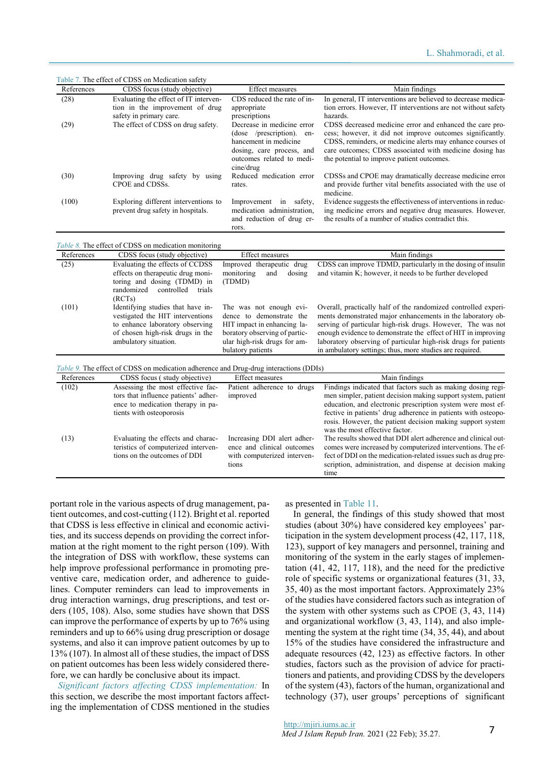Table 7. The effect of CDSS on Medication safety References CDSS focus (study objective) Effect measures Main findings (28) Evaluating the effect of IT intervention in the improvement of drug safety in primary care. CDS reduced the rate of inappropriate prescriptions In general, IT interventions are believed to decrease medication errors. However, IT interventions are not without safety hazards. (29) The effect of CDSS on drug safety. Decrease in medicine error (dose /prescription). enhancement in medicine dosing, care process, and outcomes related to medicine/drug CDSS decreased medicine error and enhanced the care process; however, it did not improve outcomes significantly. CDSS, reminders, or medicine alerts may enhance courses of care outcomes; CDSS associated with medicine dosing has the potential to improve patient outcomes. (30) Improving drug safety by using CPOE and CDSSs. Reduced medication error rates. CDSSs and CPOE may dramatically decrease medicine error and provide further vital benefits associated with the use of medicine. (100) Exploring different interventions to prevent drug safety in hospitals. Improvement in safety, medication administration, and reduction of drug errors. Evidence suggests the effectiveness of interventions in reducing medicine errors and negative drug measures. However, the results of a number of studies contradict this.

| References | CDSS focus (study objective)                                                                                                                                          | <b>Effect measures</b>                                                                                                                                                   | Main findings                                                                                                                                                                                                                                                                                                                                                                                |
|------------|-----------------------------------------------------------------------------------------------------------------------------------------------------------------------|--------------------------------------------------------------------------------------------------------------------------------------------------------------------------|----------------------------------------------------------------------------------------------------------------------------------------------------------------------------------------------------------------------------------------------------------------------------------------------------------------------------------------------------------------------------------------------|
| (25)       | Evaluating the effects of CCDSS<br>effects on therapeutic drug moni-<br>toring and dosing (TDMD) in<br>randomized<br>controlled<br>trials<br>(RCTs)                   | Improved therapeutic drug<br>monitoring<br>dosing<br>and<br>(TDMD)                                                                                                       | CDSS can improve TDMD, particularly in the dosing of insuline<br>and vitamin K; however, it needs to be further developed                                                                                                                                                                                                                                                                    |
| (101)      | Identifying studies that have in-<br>vestigated the HIT interventions<br>to enhance laboratory observing<br>of chosen high-risk drugs in the<br>ambulatory situation. | The was not enough evi-<br>dence to demonstrate the<br>HIT impact in enhancing la-<br>boratory observing of partic-<br>ular high-risk drugs for am-<br>bulatory patients | Overall, practically half of the randomized controlled experi-<br>ments demonstrated major enhancements in the laboratory ob-<br>serving of particular high-risk drugs. However, The was not<br>enough evidence to demonstrate the effect of HIT in improving<br>laboratory observing of particular high-risk drugs for patients<br>in ambulatory settings; thus, more studies are required. |

| References | CDSS focus (study objective)                                                                                                               | Effect measures                                                                                   | Main findings                                                                                                                                                                                                                                                                                                                                               |
|------------|--------------------------------------------------------------------------------------------------------------------------------------------|---------------------------------------------------------------------------------------------------|-------------------------------------------------------------------------------------------------------------------------------------------------------------------------------------------------------------------------------------------------------------------------------------------------------------------------------------------------------------|
| (102)      | Assessing the most effective fac-<br>tors that influence patients' adher-<br>ence to medication therapy in pa-<br>tients with osteoporosis | Patient adherence to drugs<br>improved                                                            | Findings indicated that factors such as making dosing regi-<br>men simpler, patient decision making support system, patient<br>education, and electronic prescription system were most ef-<br>fective in patients' drug adherence in patients with osteopo-<br>rosis. However, the patient decision making support system<br>was the most effective factor. |
| (13)       | Evaluating the effects and charac-<br>teristics of computerized interven-<br>tions on the outcomes of DDI                                  | Increasing DDI alert adher-<br>ence and clinical outcomes<br>with computerized interven-<br>tions | The results showed that DDI alert adherence and clinical out-<br>comes were increased by computerized interventions. The ef-<br>fect of DDI on the medication-related issues such as drug pre-<br>scription, administration, and dispense at decision making<br>time                                                                                        |

portant role in the various aspects of drug management, patient outcomes, and cost-cutting (112). Bright et al. reported that CDSS is less effective in clinical and economic activities, and its success depends on providing the correct information at the right moment to the right person (109). With the integration of DSS with workflow, these systems can help improve professional performance in promoting preventive care, medication order, and adherence to guidelines. Computer reminders can lead to improvements in drug interaction warnings, drug prescriptions, and test orders (105, 108). Also, some studies have shown that DSS can improve the performance of experts by up to 76% using reminders and up to 66% using drug prescription or dosage systems, and also it can improve patient outcomes by up to 13% (107). In almost all of these studies, the impact of DSS on patient outcomes has been less widely considered therefore, we can hardly be conclusive about its impact.

*Significant factors affecting CDSS implementation:* In this section, we describe the most important factors affecting the implementation of CDSS mentioned in the studies as presented in Table 11.

In general, the findings of this study showed that most studies (about 30%) have considered key employees' participation in the system development process (42, 117, 118, 123), support of key managers and personnel, training and monitoring of the system in the early stages of implementation (41, 42, 117, 118), and the need for the predictive role of specific systems or organizational features (31, 33, 35, 40) as the most important factors. Approximately 23% of the studies have considered factors such as integration of the system with other systems such as CPOE (3, 43, 114) and organizational workflow (3, 43, 114), and also implementing the system at the right time (34, 35, 44), and about 15% of the studies have considered the infrastructure and adequate resources (42, 123) as effective factors. In other studies, factors such as the provision of advice for practitioners and patients, and providing CDSS by the developers of the system (43), factors of the human, organizational and technology (37), user groups' perceptions of significant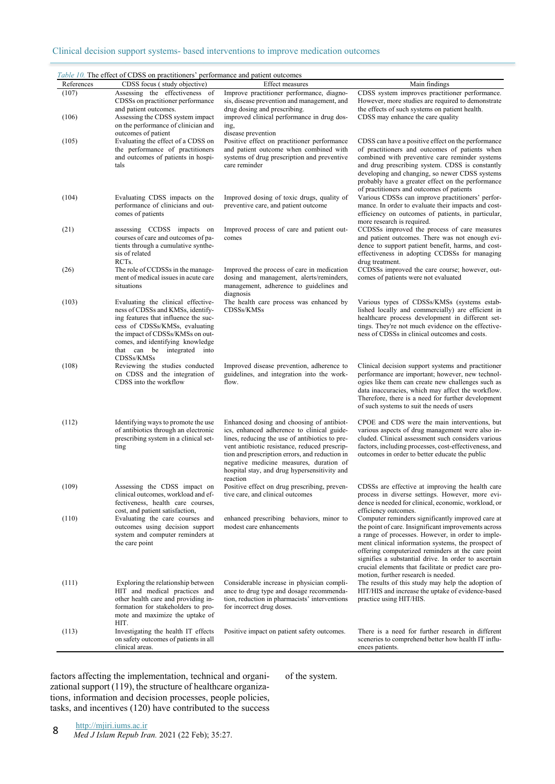|            | <i>Table 10.</i> The effect of CDSS on practitioners' performance and patient outcomes                                                                                                                                                                                 |                                                                                                                                                                                                                                                                                                                                                     |                                                                                                                                                                                                                                                                                                                                                                                                                                   |
|------------|------------------------------------------------------------------------------------------------------------------------------------------------------------------------------------------------------------------------------------------------------------------------|-----------------------------------------------------------------------------------------------------------------------------------------------------------------------------------------------------------------------------------------------------------------------------------------------------------------------------------------------------|-----------------------------------------------------------------------------------------------------------------------------------------------------------------------------------------------------------------------------------------------------------------------------------------------------------------------------------------------------------------------------------------------------------------------------------|
| References | CDSS focus (study objective)                                                                                                                                                                                                                                           | <b>Effect measures</b>                                                                                                                                                                                                                                                                                                                              | Main findings                                                                                                                                                                                                                                                                                                                                                                                                                     |
| (107)      | Assessing the effectiveness of<br>CDSSs on practitioner performance<br>and patient outcomes.                                                                                                                                                                           | Improve practitioner performance, diagno-<br>sis, disease prevention and management, and<br>drug dosing and prescribing.                                                                                                                                                                                                                            | CDSS system improves practitioner performance.<br>However, more studies are required to demonstrate<br>the effects of such systems on patient health.                                                                                                                                                                                                                                                                             |
| (106)      | Assessing the CDSS system impact<br>on the performance of clinician and<br>outcomes of patient                                                                                                                                                                         | improved clinical performance in drug dos-<br>ing,<br>disease prevention                                                                                                                                                                                                                                                                            | CDSS may enhance the care quality                                                                                                                                                                                                                                                                                                                                                                                                 |
| (105)      | Evaluating the effect of a CDSS on<br>the performance of practitioners<br>and outcomes of patients in hospi-<br>tals                                                                                                                                                   | Positive effect on practitioner performance<br>and patient outcome when combined with<br>systems of drug prescription and preventive<br>care reminder                                                                                                                                                                                               | CDSS can have a positive effect on the performance<br>of practitioners and outcomes of patients when<br>combined with preventive care reminder systems<br>and drug prescribing system. CDSS is constantly<br>developing and changing, so newer CDSS systems<br>probably have a greater effect on the performance<br>of practitioners and outcomes of patients                                                                     |
| (104)      | Evaluating CDSS impacts on the<br>performance of clinicians and out-<br>comes of patients                                                                                                                                                                              | Improved dosing of toxic drugs, quality of<br>preventive care, and patient outcome                                                                                                                                                                                                                                                                  | Various CDSSs can improve practitioners' perfor-<br>mance. In order to evaluate their impacts and cost-<br>efficiency on outcomes of patients, in particular,<br>more research is required.                                                                                                                                                                                                                                       |
| (21)       | assessing CCDSS impacts on<br>courses of care and outcomes of pa-<br>tients through a cumulative synthe-<br>sis of related<br>RCT <sub>s</sub> .                                                                                                                       | Improved process of care and patient out-<br>comes                                                                                                                                                                                                                                                                                                  | CCDSSs improved the process of care measures<br>and patient outcomes. There was not enough evi-<br>dence to support patient benefit, harms, and cost-<br>effectiveness in adopting CCDSSs for managing<br>drug treatment.                                                                                                                                                                                                         |
| (26)       | The role of CCDSSs in the manage-<br>ment of medical issues in acute care<br>situations                                                                                                                                                                                | Improved the process of care in medication<br>dosing and management, alerts/reminders,<br>management, adherence to guidelines and<br>diagnosis                                                                                                                                                                                                      | CCDSSs improved the care course; however, out-<br>comes of patients were not evaluated                                                                                                                                                                                                                                                                                                                                            |
| (103)      | Evaluating the clinical effective-<br>ness of CDSSs and KMSs, identify-<br>ing features that influence the suc-<br>cess of CDSSs/KMSs, evaluating<br>the impact of CDSSs/KMSs on out-<br>comes, and identifying knowledge<br>that can be integrated into<br>CDSSs/KMSs | The health care process was enhanced by<br>CDSSs/KMSs                                                                                                                                                                                                                                                                                               | Various types of CDSSs/KMSs (systems estab-<br>lished locally and commercially) are efficient in<br>healthcare process development in different set-<br>tings. They're not much evidence on the effective-<br>ness of CDSSs in clinical outcomes and costs.                                                                                                                                                                       |
| (108)      | Reviewing the studies conducted<br>on CDSS and the integration of<br>CDSS into the workflow                                                                                                                                                                            | Improved disease prevention, adherence to<br>guidelines, and integration into the work-<br>flow.                                                                                                                                                                                                                                                    | Clinical decision support systems and practitioner<br>performance are important; however, new technol-<br>ogies like them can create new challenges such as<br>data inaccuracies, which may affect the workflow.<br>Therefore, there is a need for further development<br>of such systems to suit the needs of users                                                                                                              |
| (112)      | Identifying ways to promote the use<br>of antibiotics through an electronic<br>prescribing system in a clinical set-<br>ting                                                                                                                                           | Enhanced dosing and choosing of antibiot-<br>ics, enhanced adherence to clinical guide-<br>lines, reducing the use of antibiotics to pre-<br>vent antibiotic resistance, reduced prescrip-<br>tion and prescription errors, and reduction in<br>negative medicine measures, duration of<br>hospital stay, and drug hypersensitivity and<br>reaction | CPOE and CDS were the main interventions, but<br>various aspects of drug management were also in-<br>cluded. Clinical assessment such considers various<br>factors, including processes, cost-effectiveness, and<br>outcomes in order to better educate the public                                                                                                                                                                |
| (109)      | Assessing the CDSS impact on<br>clinical outcomes, workload and ef-<br>fectiveness, health care courses,<br>cost, and patient satisfaction,                                                                                                                            | Positive effect on drug prescribing, preven-<br>tive care, and clinical outcomes                                                                                                                                                                                                                                                                    | CDSSs are effective at improving the health care<br>process in diverse settings. However, more evi-<br>dence is needed for clinical, economic, workload, or<br>efficiency outcomes.                                                                                                                                                                                                                                               |
| (110)      | Evaluating the care courses and<br>outcomes using decision support<br>system and computer reminders at<br>the care point                                                                                                                                               | enhanced prescribing behaviors, minor to<br>modest care enhancements                                                                                                                                                                                                                                                                                | Computer reminders significantly improved care at<br>the point of care. Insignificant improvements across<br>a range of processes. However, in order to imple-<br>ment clinical information systems, the prospect of<br>offering computerized reminders at the care point<br>signifies a substantial drive. In order to ascertain<br>crucial elements that facilitate or predict care pro-<br>motion, further research is needed. |
| (111)      | Exploring the relationship between<br>HIT and medical practices and<br>other health care and providing in-<br>formation for stakeholders to pro-<br>mote and maximize the uptake of<br>HIT.                                                                            | Considerable increase in physician compli-<br>ance to drug type and dosage recommenda-<br>tion, reduction in pharmacists' interventions<br>for incorrect drug doses.                                                                                                                                                                                | The results of this study may help the adoption of<br>HIT/HIS and increase the uptake of evidence-based<br>practice using HIT/HIS.                                                                                                                                                                                                                                                                                                |
| (113)      | Investigating the health IT effects<br>on safety outcomes of patients in all<br>clinical areas.                                                                                                                                                                        | Positive impact on patient safety outcomes.                                                                                                                                                                                                                                                                                                         | There is a need for further research in different<br>sceneries to comprehend better how health IT influ-<br>ences patients.                                                                                                                                                                                                                                                                                                       |

factors affecting the implementation, technical and organizational support (119), the structure of healthcare organizations, information and decision processes, people policies, tasks, and incentives (120) have contributed to the success of the system.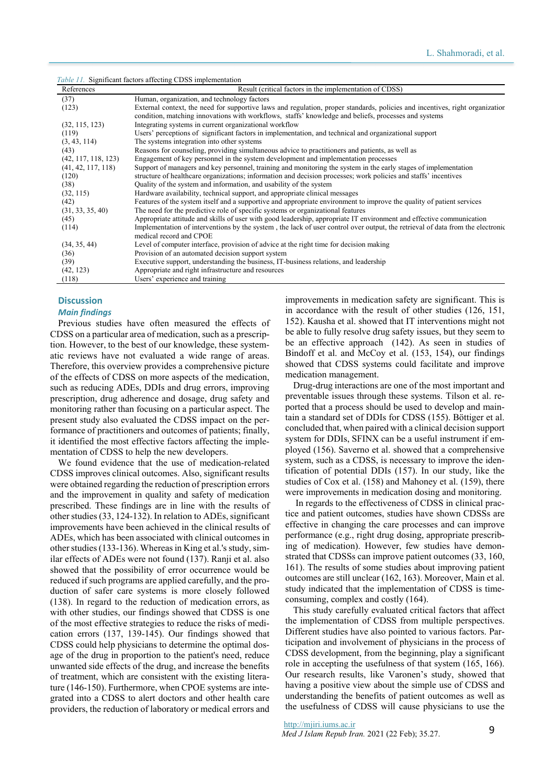*Table 11.* Significant factors affecting CDSS implementation

| References          | Result (critical factors in the implementation of CDSS)                                                                                                   |
|---------------------|-----------------------------------------------------------------------------------------------------------------------------------------------------------|
| (37)                | Human, organization, and technology factors                                                                                                               |
| (123)               | External context, the need for supportive laws and regulation, proper standards, policies and incentives, right organization                              |
|                     | condition, matching innovations with workflows, staffs' knowledge and beliefs, processes and systems                                                      |
| (32, 115, 123)      | Integrating systems in current organizational workflow                                                                                                    |
| (119)               | Users' perceptions of significant factors in implementation, and technical and organizational support                                                     |
| (3, 43, 114)        | The systems integration into other systems                                                                                                                |
| (43)                | Reasons for counseling, providing simultaneous advice to practitioners and patients, as well as                                                           |
| (42, 117, 118, 123) | Engagement of key personnel in the system development and implementation processes                                                                        |
| (41, 42, 117, 118)  | Support of managers and key personnel, training and monitoring the system in the early stages of implementation                                           |
| (120)               | structure of healthcare organizations; information and decision processes; work policies and staffs' incentives                                           |
| (38)                | Quality of the system and information, and usability of the system                                                                                        |
| (32, 115)           | Hardware availability, technical support, and appropriate clinical messages                                                                               |
| (42)                | Features of the system itself and a supportive and appropriate environment to improve the quality of patient services                                     |
| (31, 33, 35, 40)    | The need for the predictive role of specific systems or organizational features                                                                           |
| (45)                | Appropriate attitude and skills of user with good leadership, appropriate IT environment and effective communication                                      |
| (114)               | Implementation of interventions by the system, the lack of user control over output, the retrieval of data from the electronic<br>medical record and CPOE |
| (34, 35, 44)        | Level of computer interface, provision of advice at the right time for decision making                                                                    |
| (36)                | Provision of an automated decision support system                                                                                                         |
| (39)                | Executive support, understanding the business, IT-business relations, and leadership                                                                      |
| (42, 123)           | Appropriate and right infrastructure and resources                                                                                                        |
| (118)               | Users' experience and training                                                                                                                            |

# **Discussion**

#### *Main findings*

Previous studies have often measured the effects of CDSS on a particular area of medication, such as a prescription. However, to the best of our knowledge, these systematic reviews have not evaluated a wide range of areas. Therefore, this overview provides a comprehensive picture of the effects of CDSS on more aspects of the medication, such as reducing ADEs, DDIs and drug errors, improving prescription, drug adherence and dosage, drug safety and monitoring rather than focusing on a particular aspect. The present study also evaluated the CDSS impact on the performance of practitioners and outcomes of patients; finally, it identified the most effective factors affecting the implementation of CDSS to help the new developers.

We found evidence that the use of medication-related CDSS improves clinical outcomes. Also, significant results were obtained regarding the reduction of prescription errors and the improvement in quality and safety of medication prescribed. These findings are in line with the results of other studies (33, 124-132). In relation to ADEs, significant improvements have been achieved in the clinical results of ADEs, which has been associated with clinical outcomes in other studies (133-136). Whereas in King et al.'s study, similar effects of ADEs were not found (137). Ranji et al. also showed that the possibility of error occurrence would be reduced if such programs are applied carefully, and the production of safer care systems is more closely followed (138). In regard to the reduction of medication errors, as with other studies, our findings showed that CDSS is one of the most effective strategies to reduce the risks of medication errors (137, 139-145). Our findings showed that CDSS could help physicians to determine the optimal dosage of the drug in proportion to the patient's need, reduce unwanted side effects of the drug, and increase the benefits of treatment, which are consistent with the existing literature (146-150). Furthermore, when CPOE systems are integrated into a CDSS to alert doctors and other health care providers, the reduction of laboratory or medical errors and

improvements in medication safety are significant. This is in accordance with the result of other studies (126, 151, 152). Kausha et al. showed that IT interventions might not be able to fully resolve drug safety issues, but they seem to be an effective approach (142). As seen in studies of Bindoff et al. and McCoy et al. (153, 154), our findings showed that CDSS systems could facilitate and improve medication management.

Drug-drug interactions are one of the most important and preventable issues through these systems. Tilson et al. reported that a process should be used to develop and maintain a standard set of DDIs for CDSS (155). Böttiger et al. concluded that, when paired with a clinical decision support system for DDIs, SFINX can be a useful instrument if employed (156). Saverno et al. showed that a comprehensive system, such as a CDSS, is necessary to improve the identification of potential DDIs (157). In our study, like the studies of Cox et al. (158) and Mahoney et al. (159), there were improvements in medication dosing and monitoring.

 In regards to the effectiveness of CDSS in clinical practice and patient outcomes, studies have shown CDSSs are effective in changing the care processes and can improve performance (e.g., right drug dosing, appropriate prescribing of medication). However, few studies have demonstrated that CDSSs can improve patient outcomes (33, 160, 161). The results of some studies about improving patient outcomes are still unclear (162, 163). Moreover, Main et al. study indicated that the implementation of CDSS is timeconsuming, complex and costly (164).

This study carefully evaluated critical factors that affect the implementation of CDSS from multiple perspectives. Different studies have also pointed to various factors. Participation and involvement of physicians in the process of CDSS development, from the beginning, play a significant role in accepting the usefulness of that system (165, 166). Our research results, like Varonen's study, showed that having a positive view about the simple use of CDSS and understanding the benefits of patient outcomes as well as the usefulness of CDSS will cause physicians to use the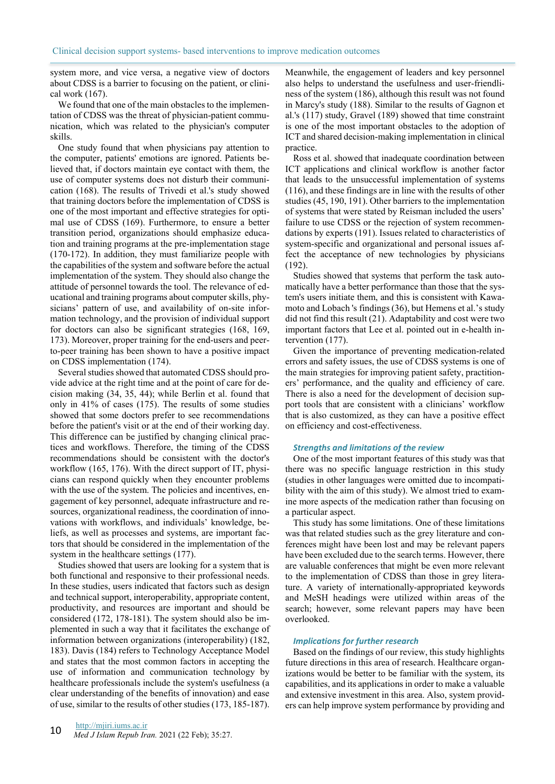system more, and vice versa, a negative view of doctors about CDSS is a barrier to focusing on the patient, or clinical work (167).

We found that one of the main obstacles to the implementation of CDSS was the threat of physician-patient communication, which was related to the physician's computer skills.

One study found that when physicians pay attention to the computer, patients' emotions are ignored. Patients believed that, if doctors maintain eye contact with them, the use of computer systems does not disturb their communication (168). The results of Trivedi et al.'s study showed that training doctors before the implementation of CDSS is one of the most important and effective strategies for optimal use of CDSS (169). Furthermore, to ensure a better transition period, organizations should emphasize education and training programs at the pre-implementation stage (170-172). In addition, they must familiarize people with the capabilities of the system and software before the actual implementation of the system. They should also change the attitude of personnel towards the tool. The relevance of educational and training programs about computer skills, physicians' pattern of use, and availability of on-site information technology, and the provision of individual support for doctors can also be significant strategies (168, 169, 173). Moreover, proper training for the end-users and peerto-peer training has been shown to have a positive impact on CDSS implementation (174).

Several studies showed that automated CDSS should provide advice at the right time and at the point of care for decision making (34, 35, 44); while Berlin et al. found that only in 41% of cases (175). The results of some studies showed that some doctors prefer to see recommendations before the patient's visit or at the end of their working day. This difference can be justified by changing clinical practices and workflows. Therefore, the timing of the CDSS recommendations should be consistent with the doctor's workflow (165, 176). With the direct support of IT, physicians can respond quickly when they encounter problems with the use of the system. The policies and incentives, engagement of key personnel, adequate infrastructure and resources, organizational readiness, the coordination of innovations with workflows, and individuals' knowledge, beliefs, as well as processes and systems, are important factors that should be considered in the implementation of the system in the healthcare settings (177).

Studies showed that users are looking for a system that is both functional and responsive to their professional needs. In these studies, users indicated that factors such as design and technical support, interoperability, appropriate content, productivity, and resources are important and should be considered (172, 178-181). The system should also be implemented in such a way that it facilitates the exchange of information between organizations (interoperability) (182, 183). Davis (184) refers to Technology Acceptance Model and states that the most common factors in accepting the use of information and communication technology by healthcare professionals include the system's usefulness (a clear understanding of the benefits of innovation) and ease of use, similar to the results of other studies (173, 185-187).

Meanwhile, the engagement of leaders and key personnel also helps to understand the usefulness and user-friendliness of the system (186), although this result was not found in Marcy's study (188). Similar to the results of Gagnon et al.'s (117) study, Gravel (189) showed that time constraint is one of the most important obstacles to the adoption of ICT and shared decision-making implementation in clinical practice.

Ross et al. showed that inadequate coordination between ICT applications and clinical workflow is another factor that leads to the unsuccessful implementation of systems (116), and these findings are in line with the results of other studies (45, 190, 191). Other barriers to the implementation of systems that were stated by Reisman included the users' failure to use CDSS or the rejection of system recommendations by experts (191). Issues related to characteristics of system-specific and organizational and personal issues affect the acceptance of new technologies by physicians (192).

Studies showed that systems that perform the task automatically have a better performance than those that the system's users initiate them, and this is consistent with Kawamoto and Lobach 's findings (36), but Hemens et al.'s study did not find this result (21). Adaptability and cost were two important factors that Lee et al. pointed out in e-health intervention (177).

Given the importance of preventing medication-related errors and safety issues, the use of CDSS systems is one of the main strategies for improving patient safety, practitioners' performance, and the quality and efficiency of care. There is also a need for the development of decision support tools that are consistent with a clinicians' workflow that is also customized, as they can have a positive effect on efficiency and cost-effectiveness.

#### *Strengths and limitations of the review*

One of the most important features of this study was that there was no specific language restriction in this study (studies in other languages were omitted due to incompatibility with the aim of this study). We almost tried to examine more aspects of the medication rather than focusing on a particular aspect.

This study has some limitations. One of these limitations was that related studies such as the grey literature and conferences might have been lost and may be relevant papers have been excluded due to the search terms. However, there are valuable conferences that might be even more relevant to the implementation of CDSS than those in grey literature. A variety of internationally-appropriated keywords and MeSH headings were utilized within areas of the search; however, some relevant papers may have been overlooked.

#### *Implications for further research*

Based on the findings of our review, this study highlights future directions in this area of research. Healthcare organizations would be better to be familiar with the system, its capabilities, and its applications in order to make a valuable and extensive investment in this area. Also, system providers can help improve system performance by providing and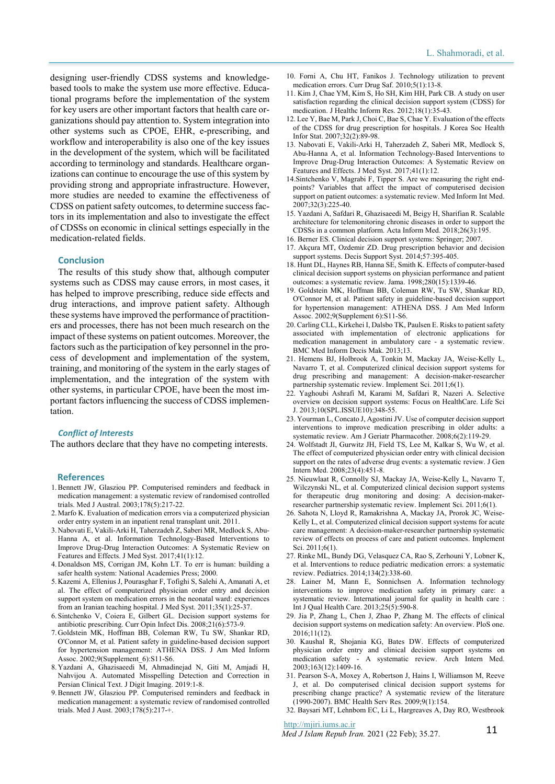designing user-friendly CDSS systems and knowledgebased tools to make the system use more effective. Educational programs before the implementation of the system for key users are other important factors that health care organizations should pay attention to. System integration into other systems such as CPOE, EHR, e-prescribing, and workflow and interoperability is also one of the key issues in the development of the system, which will be facilitated according to terminology and standards. Healthcare organizations can continue to encourage the use of this system by providing strong and appropriate infrastructure. However, more studies are needed to examine the effectiveness of CDSS on patient safety outcomes, to determine success factors in its implementation and also to investigate the effect of CDSSs on economic in clinical settings especially in the medication-related fields.

#### **Conclusion**

The results of this study show that, although computer systems such as CDSS may cause errors, in most cases, it has helped to improve prescribing, reduce side effects and drug interactions, and improve patient safety. Although these systems have improved the performance of practitioners and processes, there has not been much research on the impact of these systems on patient outcomes. Moreover, the factors such as the participation of key personnel in the process of development and implementation of the system, training, and monitoring of the system in the early stages of implementation, and the integration of the system with other systems, in particular CPOE, have been the most important factors influencing the success of CDSS implementation.

#### *Conflict of Interests*

The authors declare that they have no competing interests.

#### **References**

- 1. Bennett JW, Glasziou PP. Computerised reminders and feedback in medication management: a systematic review of randomised controlled trials. Med J Austral. 2003;178(5):217-22.
- 2. Marfo K. Evaluation of medication errors via a computerized physician order entry system in an inpatient renal transplant unit. 2011.
- 3. Nabovati E, Vakili-Arki H, Taherzadeh Z, Saberi MR, Medlock S, Abu-Hanna A, et al. Information Technology-Based Interventions to Improve Drug-Drug Interaction Outcomes: A Systematic Review on Features and Effects. J Med Syst. 2017;41(1):12.
- 4. Donaldson MS, Corrigan JM, Kohn LT. To err is human: building a safer health system: National Academies Press; 2000.
- 5. Kazemi A, Ellenius J, Pourasghar F, Tofighi S, Salehi A, Amanati A, et al. The effect of computerized physician order entry and decision support system on medication errors in the neonatal ward: experiences from an Iranian teaching hospital. J Med Syst. 2011;35(1):25-37.
- 6. Sintchenko V, Coiera E, Gilbert GL. Decision support systems for antibiotic prescribing. Curr Opin Infect Dis. 2008;21(6):573-9.
- 7. Goldstein MK, Hoffman BB, Coleman RW, Tu SW, Shankar RD, O'Connor M, et al. Patient safety in guideline-based decision support for hypertension management: ATHENA DSS. J Am Med Inform Assoc. 2002;9(Supplement 6):S11-S6.
- 8. Yazdani A, Ghazisaeedi M, Ahmadinejad N, Giti M, Amjadi H, Nahvijou A. Automated Misspelling Detection and Correction in Persian Clinical Text. J Digit Imaging. 2019:1-8.
- 9. Bennett JW, Glasziou PP. Computerised reminders and feedback in medication management: a systematic review of randomised controlled trials. Med J Aust. 2003;178(5):217-+.
- 10. Forni A, Chu HT, Fanikos J. Technology utilization to prevent medication errors. Curr Drug Saf. 2010;5(1):13-8.
- 11. Kim J, Chae YM, Kim S, Ho SH, Kim HH, Park CB. A study on user satisfaction regarding the clinical decision support system (CDSS) for medication. J Healthc Inform Res. 2012;18(1):35-43.
- 12. Lee Y, Bae M, Park J, Choi C, Bae S, Chae Y. Evaluation of the effects of the CDSS for drug prescription for hospitals. J Korea Soc Health Infor Stat. 2007;32(2):89-98.
- 13. Nabovati E, Vakili-Arki H, Taherzadeh Z, Saberi MR, Medlock S, Abu-Hanna A, et al. Information Technology-Based Interventions to Improve Drug-Drug Interaction Outcomes: A Systematic Review on Features and Effects. J Med Syst. 2017;41(1):12.
- 14.Sintchenko V, Magrabi F, Tipper S. Are we measuring the right endpoints? Variables that affect the impact of computerised decision support on patient outcomes: a systematic review. Med Inform Int Med. 2007;32(3):225-40.
- 15. Yazdani A, Safdari R, Ghazisaeedi M, Beigy H, Sharifian R. Scalable architecture for telemonitoring chronic diseases in order to support the CDSSs in a common platform. Acta Inform Med. 2018;26(3):195.
- 16. Berner ES. Clinical decision support systems: Springer; 2007.
- 17. Akçura MT, Ozdemir ZD. Drug prescription behavior and decision support systems. Decis Support Syst. 2014;57:395-405.
- 18. Hunt DL, Haynes RB, Hanna SE, Smith K. Effects of computer-based clinical decision support systems on physician performance and patient outcomes: a systematic review. Jama. 1998;280(15):1339-46.
- 19. Goldstein MK, Hoffman BB, Coleman RW, Tu SW, Shankar RD, O'Connor M, et al. Patient safety in guideline-based decision support for hypertension management: ATHENA DSS. J Am Med Inform Assoc. 2002;9(Supplement 6):S11-S6.
- 20. Carling CLL, Kirkehei I, Dalsbo TK, Paulsen E. Risks to patient safety associated with implementation of electronic applications for medication management in ambulatory care - a systematic review. BMC Med Inform Decis Mak. 2013;13.
- 21. Hemens BJ, Holbrook A, Tonkin M, Mackay JA, Weise-Kelly L, Navarro T, et al. Computerized clinical decision support systems for drug prescribing and management: A decision-maker-researcher partnership systematic review. Implement Sci. 2011;6(1).
- 22. Yaghoubi Ashrafi M, Karami M, Safdari R, Nazeri A. Selective overview on decision support systems: Focus on HealthCare. Life Sci J. 2013;10(SPL.ISSUE10):348-55.
- 23. Yourman L, Concato J, Agostini JV. Use of computer decision support interventions to improve medication prescribing in older adults: a systematic review. Am J Geriatr Pharmacother. 2008;6(2):119-29.
- 24. Wolfstadt JI, Gurwitz JH, Field TS, Lee M, Kalkar S, Wu W, et al. The effect of computerized physician order entry with clinical decision support on the rates of adverse drug events: a systematic review. J Gen Intern Med. 2008;23(4):451-8.
- 25. Nieuwlaat R, Connolly SJ, Mackay JA, Weise-Kelly L, Navarro T, Wilczynski NL, et al. Computerized clinical decision support systems for therapeutic drug monitoring and dosing: A decision-makerresearcher partnership systematic review. Implement Sci. 2011;6(1).
- 26. Sahota N, Lloyd R, Ramakrishna A, Mackay JA, Prorok JC, Weise-Kelly L, et al. Computerized clinical decision support systems for acute care management: A decision-maker-researcher partnership systematic review of effects on process of care and patient outcomes. Implement Sci. 2011;6(1).
- 27. Rinke ML, Bundy DG, Velasquez CA, Rao S, Zerhouni Y, Lobner K, et al. Interventions to reduce pediatric medication errors: a systematic review. Pediatrics. 2014;134(2):338-60.
- 28. Lainer M, Mann E, Sonnichsen A. Information technology interventions to improve medication safety in primary care: a systematic review. International journal for quality in health care : Int J Qual Health Care. 2013;25(5):590-8.
- 29. Jia P, Zhang L, Chen J, Zhao P, Zhang M. The effects of clinical decision support systems on medication safety: An overview. PloS one. 2016;11(12).
- 30. Kaushal R, Shojania KG, Bates DW. Effects of computerized physician order entry and clinical decision support systems on medication safety - A systematic review. Arch Intern Med. 2003;163(12):1409-16.
- 31. Pearson S-A, Moxey A, Robertson J, Hains I, Williamson M, Reeve J, et al. Do computerised clinical decision support systems for prescribing change practice? A systematic review of the literature (1990-2007). BMC Health Serv Res. 2009;9(1):154.
- 32. Baysari MT, Lehnbom EC, Li L, Hargreaves A, Day RO, Westbrook

http://mjiri.iums.ac.ir

*Med J Islam Repub Iran.* 2021 (22 Feb); 35.27. 11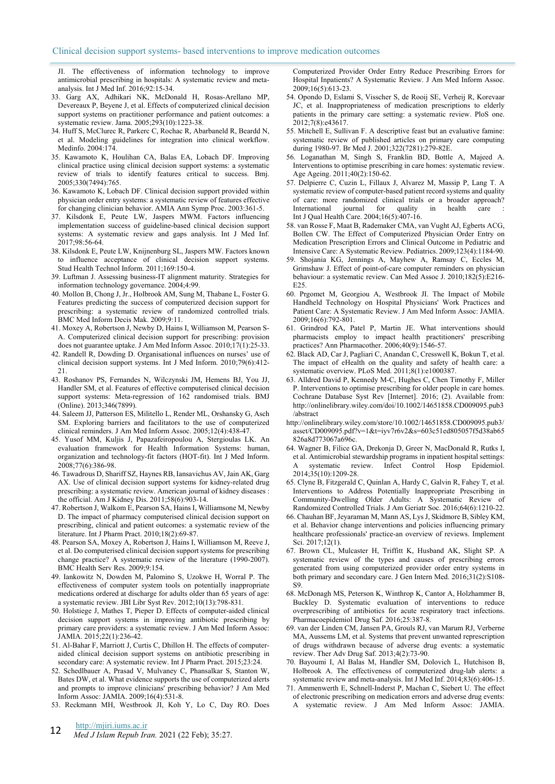JI. The effectiveness of information technology to improve antimicrobial prescribing in hospitals: A systematic review and metaanalysis. Int J Med Inf. 2016;92:15-34.

- 33. Garg AX, Adhikari NK, McDonald H, Rosas-Arellano MP, Devereaux P, Beyene J, et al. Effects of computerized clinical decision support systems on practitioner performance and patient outcomes: a systematic review. Jama. 2005;293(10):1223-38.
- 34. Huff S, McClurec R, Parkerc C, Rochac R, Abarbaneld R, Beardd N, et al. Modeling guidelines for integration into clinical workflow. Medinfo. 2004:174.
- 35. Kawamoto K, Houlihan CA, Balas EA, Lobach DF. Improving clinical practice using clinical decision support systems: a systematic review of trials to identify features critical to success. Bmj. 2005;330(7494):765.
- 36. Kawamoto K, Lobach DF. Clinical decision support provided within physician order entry systems: a systematic review of features effective for changing clinician behavior. AMIA Ann Symp Proc. 2003:361-5.
- 37. Kilsdonk E, Peute LW, Jaspers MWM. Factors influencing implementation success of guideline-based clinical decision support systems: A systematic review and gaps analysis. Int J Med Inf. 2017;98:56-64.
- 38. Kilsdonk E, Peute LW, Knijnenburg SL, Jaspers MW. Factors known to influence acceptance of clinical decision support systems. Stud Health Technol Inform. 2011;169:150-4.
- 39. Luftman J. Assessing business-IT alignment maturity. Strategies for information technology governance. 2004;4:99.
- 40. Mollon B, Chong J, Jr., Holbrook AM, Sung M, Thabane L, Foster G. Features predicting the success of computerized decision support for prescribing: a systematic review of randomized controlled trials. BMC Med Inform Decis Mak. 2009;9:11.
- 41. Moxey A, Robertson J, Newby D, Hains I, Williamson M, Pearson S-A. Computerized clinical decision support for prescribing: provision does not guarantee uptake. J Am Med Inform Assoc. 2010;17(1):25-33.
- 42. Randell R, Dowding D. Organisational influences on nurses' use of clinical decision support systems. Int J Med Inform. 2010;79(6):412- 21.
- 43. Roshanov PS, Fernandes N, Wilczynski JM, Hemens BJ, You JJ, Handler SM, et al. Features of effective computerised clinical decision support systems: Meta-regression of 162 randomised trials. BMJ (Online). 2013;346(7899).
- 44. Saleem JJ, Patterson ES, Militello L, Render ML, Orshansky G, Asch SM. Exploring barriers and facilitators to the use of computerized clinical reminders. J Am Med Inform Assoc. 2005;12(4):438-47.
- 45. Yusof MM, Kuljis J, Papazafeiropoulou A, Stergioulas LK. An evaluation framework for Health Information Systems: human, organization and technology-fit factors (HOT-fit). Int J Med Inform. 2008;77(6):386-98.
- 46. Tawadrous D, Shariff SZ, Haynes RB, Iansavichus AV, Jain AK, Garg AX. Use of clinical decision support systems for kidney-related drug prescribing: a systematic review. American journal of kidney diseases : the official. Am J Kidney Dis. 2011;58(6):903-14.
- 47. Robertson J, Walkom E, Pearson SA, Hains I, Williamsone M, Newby D. The impact of pharmacy computerised clinical decision support on prescribing, clinical and patient outcomes: a systematic review of the literature. Int J Pharm Pract. 2010;18(2):69-87.
- 48. Pearson SA, Moxey A, Robertson J, Hains I, Williamson M, Reeve J, et al. Do computerised clinical decision support systems for prescribing change practice? A systematic review of the literature (1990-2007). BMC Health Serv Res. 2009:9:154.
- 49. Iankowitz N, Dowden M, Palomino S, Uzokwe H, Worral P. The effectiveness of computer system tools on potentially inappropriate medications ordered at discharge for adults older than 65 years of age: a systematic review. JBI Libr Syst Rev. 2012;10(13):798-831.
- 50. Holstiege J, Mathes T, Pieper D. Effects of computer-aided clinical decision support systems in improving antibiotic prescribing by primary care providers: a systematic review. J Am Med Inform Assoc: JAMIA. 2015;22(1):236-42.
- 51. Al-Bahar F, Marriott J, Curtis C, Dhillon H. The effects of computeraided clinical decision support systems on antibiotic prescribing in secondary care: A systematic review. Int J Pharm Pract. 2015;23:24.
- 52. Schedlbauer A, Prasad V, Mulvaney C, Phansalkar S, Stanton W, Bates DW, et al. What evidence supports the use of computerized alerts and prompts to improve clinicians' prescribing behavior? J Am Med Inform Assoc: JAMIA. 2009;16(4):531-8.
- 53. Reckmann MH, Westbrook JI, Koh Y, Lo C, Day RO. Does

http://mjiri.iums.ac.ir

**12** *Med J Islam Repub Iran.* 2021 (22 Feb); 35:27.

Computerized Provider Order Entry Reduce Prescribing Errors for Hospital Inpatients? A Systematic Review. J Am Med Inform Assoc. 2009;16(5):613-23.

- 54. Opondo D, Eslami S, Visscher S, de Rooij SE, Verheij R, Korevaar JC, et al. Inappropriateness of medication prescriptions to elderly patients in the primary care setting: a systematic review. PloS one. 2012;7(8):e43617.
- 55. Mitchell E, Sullivan F. A descriptive feast but an evaluative famine: systematic review of published articles on primary care computing during 1980-97. Br Med J. 2001;322(7281):279-82E.
- 56. Loganathan M, Singh S, Franklin BD, Bottle A, Majeed A. Interventions to optimise prescribing in care homes: systematic review. Age Ageing. 2011;40(2):150-62.
- 57. Delpierre C, Cuzin L, Fillaux J, Alvarez M, Massip P, Lang T. A systematic review of computer-based patient record systems and quality of care: more randomized clinical trials or a broader approach? International journal for quality in health care Int J Qual Health Care. 2004;16(5):407-16.
- 58. van Rosse F, Maat B, Rademaker CMA, van Vught AJ, Egberts ACG, Bollen CW. The Effect of Computerized Physician Order Entry on Medication Prescription Errors and Clinical Outcome in Pediatric and Intensive Care: A Systematic Review. Pediatrics. 2009;123(4):1184-90.
- 59. Shojania KG, Jennings A, Mayhew A, Ramsay C, Eccles M, Grimshaw J. Effect of point-of-care computer reminders on physician behaviour: a systematic review. Can Med Assoc J. 2010;182(5):E216- E25.
- 60. Prgomet M, Georgiou A, Westbrook JI. The Impact of Mobile Handheld Technology on Hospital Physicians' Work Practices and Patient Care: A Systematic Review. J Am Med Inform Assoc: JAMIA. 2009;16(6):792-801.
- 61. Grindrod KA, Patel P, Martin JE. What interventions should pharmacists employ to impact health practitioners' prescribing practices? Ann Pharmacother. 2006;40(9):1546-57.
- 62. Black AD, Car J, Pagliari C, Anandan C, Cresswell K, Bokun T, et al. The impact of eHealth on the quality and safety of health care: a systematic overview. PLoS Med. 2011;8(1):e1000387.
- 63. Alldred David P, Kennedy M-C, Hughes C, Chen Timothy F, Miller P. Interventions to optimise prescribing for older people in care homes. Cochrane Database Syst Rev [Internet]. 2016; (2). Available from: http://onlinelibrary.wiley.com/doi/10.1002/14651858.CD009095.pub3 /abstract
- http://onlinelibrary.wiley.com/store/10.1002/14651858.CD009095.pub3/ asset/CD009095.pdf?v=1&t=iyv7r6v2&s=603c51ed805057f5d38ab65 826a8d773067a696c.
- 64. Wagner B, Filice GA, Drekonja D, Greer N, MacDonald R, Rutks I, et al. Antimicrobial stewardship programs in inpatient hospital settings: systematic review. Infect Control Hosp Epidemiol. 2014;35(10):1209-28.
- 65. Clyne B, Fitzgerald C, Quinlan A, Hardy C, Galvin R, Fahey T, et al. Interventions to Address Potentially Inappropriate Prescribing in Community-Dwelling Older Adults: A Systematic Review of Randomized Controlled Trials. J Am Geriatr Soc. 2016;64(6):1210-22.
- 66. Chauhan BF, Jeyaraman M, Mann AS, Lys J, Skidmore B, Sibley KM, et al. Behavior change interventions and policies influencing primary healthcare professionals' practice-an overview of reviews. Implement Sci. 2017;12(1).
- 67. Brown CL, Mulcaster H, Triffitt K, Husband AK, Slight SP. A systematic review of the types and causes of prescribing errors generated from using computerized provider order entry systems in both primary and secondary care. J Gen Intern Med. 2016;31(2):S108- S9.
- 68. McDonagh MS, Peterson K, Winthrop K, Cantor A, Holzhammer B, Buckley D. Systematic evaluation of interventions to reduce overprescribing of antibiotics for acute respiratory tract infections. Pharmacoepidemiol Drug Saf. 2016;25:387-8.
- 69. van der Linden CM, Jansen PA, Grouls RJ, van Marum RJ, Verberne MA, Aussems LM, et al. Systems that prevent unwanted represcription of drugs withdrawn because of adverse drug events: a systematic review. Ther Adv Drug Saf. 2013;4(2):73-90.
- 70. Bayoumi I, Al Balas M, Handler SM, Dolovich L, Hutchison B, Holbrook A. The effectiveness of computerized drug-lab alerts: a systematic review and meta-analysis. Int J Med Inf. 2014;83(6):406-15.
- 71. Ammenwerth E, Schnell-Inderst P, Machan C, Siebert U. The effect of electronic prescribing on medication errors and adverse drug events:
- A systematic review. J Am Med Inform Assoc: JAMIA.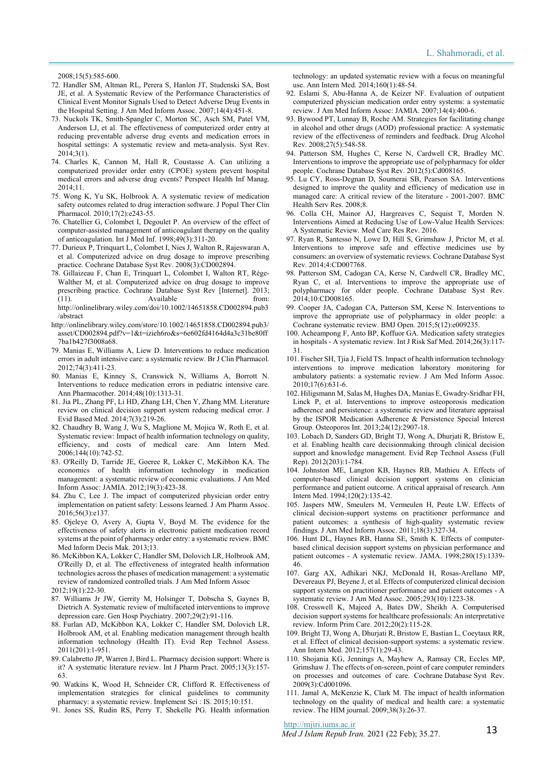2008;15(5):585-600.

- 72. Handler SM, Altman RL, Perera S, Hanlon JT, Studenski SA, Bost JE, et al. A Systematic Review of the Performance Characteristics of Clinical Event Monitor Signals Used to Detect Adverse Drug Events in the Hospital Setting. J Am Med Inform Assoc. 2007;14(4):451-8.
- 73. Nuckols TK, Smith-Spangler C, Morton SC, Asch SM, Patel VM, Anderson LJ, et al. The effectiveness of computerized order entry at reducing preventable adverse drug events and medication errors in hospital settings: A systematic review and meta-analysis. Syst Rev. 2014;3(1).
- 74. Charles K, Cannon M, Hall R, Coustasse A. Can utilizing a computerized provider order entry (CPOE) system prevent hospital medical errors and adverse drug events? Perspect Health Inf Manag. 2014;11.
- 75. Wong K, Yu SK, Holbrook A. A systematic review of medication safety outcomes related to drug interaction software. J Popul Ther Clin Pharmacol. 2010;17(2):e243-55.
- 76. Chatellier G, Colombet I, Degoulet P. An overview of the effect of computer-assisted management of anticoagulant therapy on the quality of anticoagulation. Int J Med Inf. 1998;49(3):311-20.
- 77. Durieux P, Trinquart L, Colombet I, Nies J, Walton R, Rajeswaran A, et al. Computerized advice on drug dosage to improve prescribing practice. Cochrane Database Syst Rev. 2008(3):CD002894.
- 78. Gillaizeau F, Chan E, Trinquart L, Colombet I, Walton RT, Rège-Walther M, et al. Computerized advice on drug dosage to improve prescribing practice. Cochrane Database Syst Rev [Internet]. 2013; (11). Available from: http://onlinelibrary.wiley.com/doi/10.1002/14651858.CD002894.pub3
- /abstract http://onlinelibrary.wiley.com/store/10.1002/14651858.CD002894.pub3/ asset/CD002894.pdf?v=1&t=izieh6ro&s=6e602fd4164d4a3c31be80ff
- 7ba1b427f3008a68. 79. Manias E, Williams A, Liew D. Interventions to reduce medication errors in adult intensive care: a systematic review. Br J Clin Pharmacol*.*  2012;74(3):411-23.
- 80. Manias E, Kinney S, Cranswick N, Williams A, Borrott N. Interventions to reduce medication errors in pediatric intensive care. Ann Pharmacother. 2014;48(10):1313-31.
- 81. Jia PL, Zhang PF, Li HD, Zhang LH, Chen Y, Zhang MM. Literature review on clinical decision support system reducing medical error. J Evid Based Med. 2014;7(3):219-26.
- 82. Chaudhry B, Wang J, Wu S, Maglione M, Mojica W, Roth E, et al. Systematic review: Impact of health information technology on quality, efficiency, and costs of medical care. Ann Intern Med. 2006;144(10):742-52.
- 83. O'Reilly D, Tarride JE, Goeree R, Lokker C, McKibbon KA. The economics of health information technology in medication management: a systematic review of economic evaluations. J Am Med Inform Assoc: JAMIA. 2012;19(3):423-38.
- 84. Zhu C, Lee J. The impact of computerized physician order entry implementation on patient safety: Lessons learned. J Am Pharm Assoc. 2016;56(3):e137.
- 85. Ojeleye O, Avery A, Gupta V, Boyd M. The evidence for the effectiveness of safety alerts in electronic patient medication record systems at the point of pharmacy order entry: a systematic review. BMC Med Inform Decis Mak. 2013;13.
- 86. McKibbon KA, Lokker C, Handler SM, Dolovich LR, Holbrook AM, O'Reilly D, et al. The effectiveness of integrated health information technologies across the phases of medication management: a systematic review of randomized controlled trials. J Am Med Inform Assoc 2012;19(1):22-30.
- 87. Williams Jr JW, Gerrity M, Holsinger T, Dobscha S, Gaynes B, Dietrich A. Systematic review of multifaceted interventions to improve depression care. Gen Hosp Psychiatry. 2007;29(2):91-116.
- 88. Furlan AD, McKibbon KA, Lokker C, Handler SM, Dolovich LR, Holbrook AM, et al. Enabling medication management through health information technology (Health IT). Evid Rep Technol Assess. 2011(201):1-951.
- 89. Calabretto JP, Warren J, Bird L. Pharmacy decision support: Where is it? A systematic literature review. Int J Pharm Pract. 2005;13(3):157- 63.
- 90. Watkins K, Wood H, Schneider CR, Clifford R. Effectiveness of implementation strategies for clinical guidelines to community pharmacy: a systematic review. Implement Sci : IS. 2015;10:151.
- 91. Jones SS, Rudin RS, Perry T, Shekelle PG. Health information

technology: an updated systematic review with a focus on meaningful use. Ann Intern Med. 2014;160(1):48-54.

- 92. Eslami S, Abu-Hanna A, de Keizer NF. Evaluation of outpatient computerized physician medication order entry systems: a systematic review. J Am Med Inform Assoc: JAMIA. 2007;14(4):400-6.
- 93. Bywood PT, Lunnay B, Roche AM. Strategies for facilitating change in alcohol and other drugs (AOD) professional practice: A systematic review of the effectiveness of reminders and feedback. Drug Alcohol Rev. 2008;27(5):548-58.
- 94. Patterson SM, Hughes C, Kerse N, Cardwell CR, Bradley MC. Interventions to improve the appropriate use of polypharmacy for older people. Cochrane Database Syst Rev. 2012(5):Cd008165.
- 95. Lu CY, Ross-Degnan D, Soumerai SB, Pearson SA. Interventions designed to improve the quality and efficiency of medication use in managed care: A critical review of the literature - 2001-2007. BMC Health Serv Res. 2008;8.
- 96. Colla CH, Mainor AJ, Hargreaves C, Sequist T, Morden N. Interventions Aimed at Reducing Use of Low-Value Health Services: A Systematic Review. Med Care Res Rev. 2016.
- 97. Ryan R, Santesso N, Lowe D, Hill S, Grimshaw J, Prictor M, et al. Interventions to improve safe and effective medicines use by consumers: an overview of systematic reviews. Cochrane Database Syst Rev. 2014;4:CD007768.
- 98. Patterson SM, Cadogan CA, Kerse N, Cardwell CR, Bradley MC, Ryan C, et al. Interventions to improve the appropriate use of polypharmacy for older people. Cochrane Database Syst Rev. 2014;10:CD008165.
- 99. Cooper JA, Cadogan CA, Patterson SM, Kerse N. Interventions to improve the appropriate use of polypharmacy in older people: a Cochrane systematic review. BMJ Open. 2015;5(12):e009235.
- 100. Acheampong F, Anto BP, Koffuor GA. Medication safety strategies in hospitals - A systematic review. Int J Risk Saf Med. 2014;26(3):117- 31.
- 101. Fischer SH, Tjia J, Field TS. Impact of health information technology interventions to improve medication laboratory monitoring for ambulatory patients: a systematic review. J Am Med Inform Assoc.  $2010:17(6):631-6$
- 102. Hiligsmann M, Salas M, Hughes DA, Manias E, Gwadry-Sridhar FH, Linck P, et al. Interventions to improve osteoporosis medication adherence and persistence: a systematic review and literature appraisal by the ISPOR Medication Adherence & Persistence Special Interest Group. Osteoporos Int. 2013;24(12):2907-18.
- 103. Lobach D, Sanders GD, Bright TJ, Wong A, Dhurjati R, Bristow E, et al. Enabling health care decisionmaking through clinical decision support and knowledge management. Evid Rep Technol Assess (Full Rep). 2012(203):1-784.
- 104. Johnston ME, Langton KB, Haynes RB, Mathieu A. Effects of computer-based clinical decision support systems on clinician performance and patient outcome. A critical appraisal of research. Ann Intern Med. 1994;120(2):135-42.
- 105. Jaspers MW, Smeulers M, Vermeulen H, Peute LW. Effects of clinical decision-support systems on practitioner performance and patient outcomes: a synthesis of high-quality systematic review findings. J Am Med Inform Assoc. 2011;18(3):327-34.
- 106. Hunt DL, Haynes RB, Hanna SE, Smith K. Effects of computerbased clinical decision support systems on physician performance and patient outcomes - A systematic review. JAMA. 1998;280(15):1339- 46.
- 107. Garg AX, Adhikari NKJ, McDonald H, Rosas-Arellano MP, Devereaux PJ, Beyene J, et al. Effects of computerized clinical decision support systems on practitioner performance and patient outcomes - A systematic review. J Am Med Assoc. 2005;293(10):1223-38.
- 108. Cresswell K, Majeed A, Bates DW, Sheikh A. Computerised decision support systems for healthcare professionals: An interpretative review. Inform Prim Care. 2012;20(2):115-28.
- 109. Bright TJ, Wong A, Dhurjati R, Bristow E, Bastian L, Coeytaux RR, et al. Effect of clinical decision-support systems: a systematic review. Ann Intern Med. 2012;157(1):29-43.
- 110. Shojania KG, Jennings A, Mayhew A, Ramsay CR, Eccles MP, Grimshaw J. The effects of on-screen, point of care computer reminders on processes and outcomes of care. Cochrane Database Syst Rev. 2009(3):Cd001096.
- 111. Jamal A, McKenzie K, Clark M. The impact of health information technology on the quality of medical and health care: a systematic review. The HIM journal. 2009;38(3):26-37.

http://mjiri.iums.ac.ir

*Med J Islam Repub Iran.* 2021 (22 Feb); 35.27. 13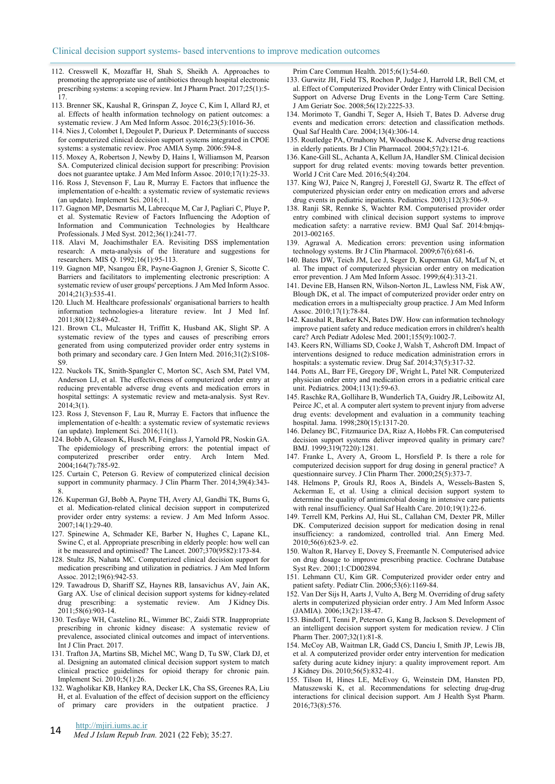- 112. Cresswell K, Mozaffar H, Shah S, Sheikh A. Approaches to promoting the appropriate use of antibiotics through hospital electronic prescribing systems: a scoping review. Int J Pharm Pract. 2017;25(1):5- 17.
- 113. Brenner SK, Kaushal R, Grinspan Z, Joyce C, Kim I, Allard RJ, et al. Effects of health information technology on patient outcomes: a systematic review. J Am Med Inform Assoc. 2016;23(5):1016-36.
- 114. Nies J, Colombet I, Degoulet P, Durieux P. Determinants of success for computerized clinical decision support systems integrated in CPOE systems: a systematic review. Proc AMIA Symp. 2006:594-8.
- 115. Moxey A, Robertson J, Newby D, Hains I, Williamson M, Pearson SA. Computerized clinical decision support for prescribing: Provision does not guarantee uptake. J Am Med Inform Assoc. 2010;17(1):25-33.
- 116. Ross J, Stevenson F, Lau R, Murray E. Factors that influence the implementation of e-health: a systematic review of systematic reviews (an update). Implement Sci. 2016;11.
- 117. Gagnon MP, Desmartis M, Labrecque M, Car J, Pagliari C, Pluye P, et al. Systematic Review of Factors Influencing the Adoption of Information and Communication Technologies by Healthcare Professionals. J Med Syst. 2012;36(1):241-77.
- 118. Alavi M, Joachimsthaler EA. Revisiting DSS implementation research: A meta-analysis of the literature and suggestions for researchers. MIS Q. 1992;16(1):95-113.
- 119. Gagnon MP, Nsangou ÉR, Payne-Gagnon J, Grenier S, Sicotte C. Barriers and facilitators to implementing electronic prescription: A systematic review of user groups' perceptions. J Am Med Inform Assoc. 2014;21(3):535-41.
- 120. Lluch M. Healthcare professionals' organisational barriers to health information technologies-a literature review. Int J Med Inf. 2011;80(12):849-62.
- 121. Brown CL, Mulcaster H, Triffitt K, Husband AK, Slight SP. A systematic review of the types and causes of prescribing errors generated from using computerized provider order entry systems in both primary and secondary care. J Gen Intern Med. 2016;31(2):S108- S9.
- 122. Nuckols TK, Smith-Spangler C, Morton SC, Asch SM, Patel VM, Anderson LJ, et al. The effectiveness of computerized order entry at reducing preventable adverse drug events and medication errors in hospital settings: A systematic review and meta-analysis. Syst Rev. 2014;3(1).
- 123. Ross J, Stevenson F, Lau R, Murray E. Factors that influence the implementation of e-health: a systematic review of systematic reviews (an update). Implement Sci. 2016;11(1).
- 124. Bobb A, Gleason K, Husch M, Feinglass J, Yarnold PR, Noskin GA. The epidemiology of prescribing errors: the potential impact of computerized prescriber order entry. Arch Intern Med. 2004;164(7):785-92.
- 125. Curtain C, Peterson G. Review of computerized clinical decision support in community pharmacy. J Clin Pharm Ther. 2014;39(4):343- 8.
- 126. Kuperman GJ, Bobb A, Payne TH, Avery AJ, Gandhi TK, Burns G, et al. Medication-related clinical decision support in computerized provider order entry systems: a review. J Am Med Inform Assoc.  $2007;14(1):29-40.$
- 127. Spinewine A, Schmader KE, Barber N, Hughes C, Lapane KL, Swine C, et al. Appropriate prescribing in elderly people: how well can it be measured and optimised? The Lancet. 2007;370(9582):173-84.
- 128. Stultz JS, Nahata MC. Computerized clinical decision support for medication prescribing and utilization in pediatrics. J Am Med Inform Assoc. 2012;19(6):942-53.
- 129. Tawadrous D, Shariff SZ, Haynes RB, Iansavichus AV, Jain AK, Garg AX. Use of clinical decision support systems for kidney-related drug prescribing: a systematic review. Am J Kidney Dis. 2011;58(6):903-14.
- 130. Tesfaye WH, Castelino RL, Wimmer BC, Zaidi STR. Inappropriate prescribing in chronic kidney disease: A systematic review of prevalence, associated clinical outcomes and impact of interventions. Int J Clin Pract. 2017.
- 131. Trafton JA, Martins SB, Michel MC, Wang D, Tu SW, Clark DJ, et al. Designing an automated clinical decision support system to match clinical practice guidelines for opioid therapy for chronic pain. Implement Sci. 2010;5(1):26.
- 132. Wagholikar KB, Hankey RA, Decker LK, Cha SS, Greenes RA, Liu H, et al. Evaluation of the effect of decision support on the efficiency
- of primary care providers in the outpatient practice. J

## http://mjiri.iums.ac.ir

**14** *Med J Islam Repub Iran.* 2021 (22 Feb); 35:27.

Prim Care Commun Health. 2015;6(1):54-60.

- 133. Gurwitz JH, Field TS, Rochon P, Judge J, Harrold LR, Bell CM, et al. Effect of Computerized Provider Order Entry with Clinical Decision Support on Adverse Drug Events in the Long‐Term Care Setting. J Am Geriatr Soc. 2008;56(12):2225-33.
- 134. Morimoto T, Gandhi T, Seger A, Hsieh T, Bates D. Adverse drug events and medication errors: detection and classification methods. Qual Saf Health Care. 2004;13(4):306-14.
- 135. Routledge PA, O'mahony M, Woodhouse K. Adverse drug reactions in elderly patients. Br J Clin Pharmacol*.* 2004;57(2):121-6.
- 136. Kane-Gill SL, Achanta A, Kellum JA, Handler SM. Clinical decision support for drug related events: moving towards better prevention. World J Crit Care Med. 2016;5(4):204.
- 137. King WJ, Paice N, Rangrej J, Forestell GJ, Swartz R. The effect of computerized physician order entry on medication errors and adverse drug events in pediatric inpatients. Pediatrics. 2003;112(3):506-9.
- 138. Ranji SR, Rennke S, Wachter RM. Computerised provider order entry combined with clinical decision support systems to improve medication safety: a narrative review. BMJ Qual Saf. 2014:bmjqs-2013-002165.
- 139. Agrawal A. Medication errors: prevention using information technology systems. Br J Clin Pharmacol. 2009;67(6):681-6.
- 140. Bates DW, Teich JM, Lee J, Seger D, Kuperman GJ, Ma'Luf N, et al. The impact of computerized physician order entry on medication error prevention. J Am Med Inform Assoc. 1999;6(4):313-21.
- 141. Devine EB, Hansen RN, Wilson-Norton JL, Lawless NM, Fisk AW, Blough DK, et al. The impact of computerized provider order entry on medication errors in a multispecialty group practice. J Am Med Inform Assoc. 2010;17(1):78-84.
- 142. Kaushal R, Barker KN, Bates DW. How can information technology improve patient safety and reduce medication errors in children's health care? Arch Pediatr Adolesc Med. 2001;155(9):1002-7.
- 143. Keers RN, Williams SD, Cooke J, Walsh T, Ashcroft DM. Impact of interventions designed to reduce medication administration errors in hospitals: a systematic review. Drug Saf. 2014;37(5):317-32.
- 144. Potts AL, Barr FE, Gregory DF, Wright L, Patel NR. Computerized physician order entry and medication errors in a pediatric critical care unit. Pediatrics. 2004;113(1):59-63.
- 145. Raschke RA, Gollihare B, Wunderlich TA, Guidry JR, Leibowitz AI, Peirce JC, et al. A computer alert system to prevent injury from adverse drug events: development and evaluation in a community teaching hospital. Jama. 1998;280(15):1317-20.
- 146. Delaney BC, Fitzmaurice DA, Riaz A, Hobbs FR. Can computerised decision support systems deliver improved quality in primary care? BMJ. 1999;319(7220):1281.
- 147. Franke L, Avery A, Groom L, Horsfield P. Is there a role for computerized decision support for drug dosing in general practice? A questionnaire survey. J Clin Pharm Ther. 2000;25(5):373-7.
- 148. Helmons P, Grouls RJ, Roos A, Bindels A, Wessels-Basten S, Ackerman E, et al. Using a clinical decision support system to determine the quality of antimicrobial dosing in intensive care patients with renal insufficiency. Qual Saf Health Care. 2010;19(1):22-6.
- 149. Terrell KM, Perkins AJ, Hui SL, Callahan CM, Dexter PR, Miller DK. Computerized decision support for medication dosing in renal insufficiency: a randomized, controlled trial. Ann Emerg Med. 2010;56(6):623-9. e2.
- 150. Walton R, Harvey E, Dovey S, Freemantle N. Computerised advice on drug dosage to improve prescribing practice. Cochrane Database Syst Rev. 2001;1:CD002894.
- 151. Lehmann CU, Kim GR. Computerized provider order entry and patient safety. Pediatr Clin. 2006;53(6):1169-84.
- 152. Van Der Sijs H, Aarts J, Vulto A, Berg M. Overriding of drug safety alerts in computerized physician order entry. J Am Med Inform Assoc (JAMIA). 2006;13(2):138-47.
- 153. Bindoff I, Tenni P, Peterson G, Kang B, Jackson S. Development of an intelligent decision support system for medication review. J Clin Pharm Ther. 2007;32(1):81-8.
- 154. McCoy AB, Waitman LR, Gadd CS, Danciu I, Smith JP, Lewis JB, et al. A computerized provider order entry intervention for medication safety during acute kidney injury: a quality improvement report. Am J Kidney Dis. 2010;56(5):832-41.
- 155. Tilson H, Hines LE, McEvoy G, Weinstein DM, Hansten PD, Matuszewski K, et al. Recommendations for selecting drug-drug interactions for clinical decision support. Am J Health Syst Pharm. 2016;73(8):576.